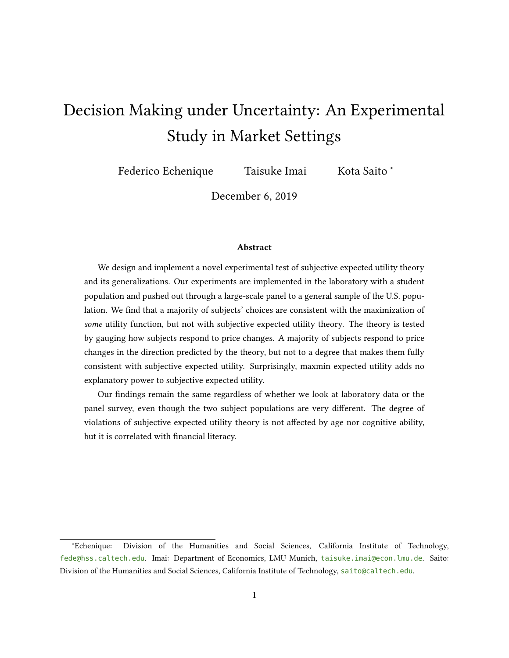# <span id="page-0-0"></span>Decision Making under Uncertainty: An Experimental Study in Market Settings

Federico Echenique Taisuke Imai Kota Saito <sup>∗</sup>

December 6, 2019

#### Abstract

We design and implement a novel experimental test of subjective expected utility theory and its generalizations. Our experiments are implemented in the laboratory with a student population and pushed out through a large-scale panel to a general sample of the U.S. population. We find that a majority of subjects' choices are consistent with the maximization of some utility function, but not with subjective expected utility theory. The theory is tested by gauging how subjects respond to price changes. A majority of subjects respond to price changes in the direction predicted by the theory, but not to a degree that makes them fully consistent with subjective expected utility. Surprisingly, maxmin expected utility adds no explanatory power to subjective expected utility.

Our findings remain the same regardless of whether we look at laboratory data or the panel survey, even though the two subject populations are very different. The degree of violations of subjective expected utility theory is not affected by age nor cognitive ability, but it is correlated with financial literacy.

<sup>∗</sup>Echenique: Division of the Humanities and Social Sciences, California Institute of Technology, [fede@hss.caltech.edu](mailto:fede@hss.caltech.edu). Imai: Department of Economics, LMU Munich, [taisuke.imai@econ.lmu.de](mailto:taisuke.imai@econ.lmu.de). Saito: Division of the Humanities and Social Sciences, California Institute of Technology, [saito@caltech.edu](mailto:saito@caltech.edu).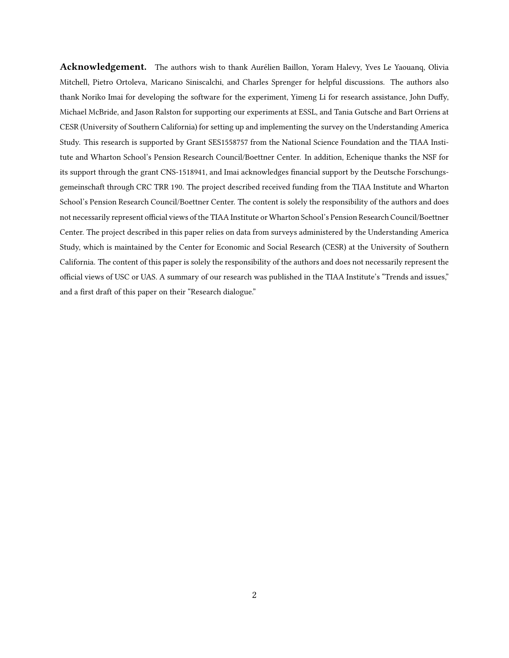Acknowledgement. The authors wish to thank Aurélien Baillon, Yoram Halevy, Yves Le Yaouanq, Olivia Mitchell, Pietro Ortoleva, Maricano Siniscalchi, and Charles Sprenger for helpful discussions. The authors also thank Noriko Imai for developing the software for the experiment, Yimeng Li for research assistance, John Duffy, Michael McBride, and Jason Ralston for supporting our experiments at ESSL, and Tania Gutsche and Bart Orriens at CESR (University of Southern California) for setting up and implementing the survey on the Understanding America Study. This research is supported by Grant SES1558757 from the National Science Foundation and the TIAA Institute and Wharton School's Pension Research Council/Boettner Center. In addition, Echenique thanks the NSF for its support through the grant CNS-1518941, and Imai acknowledges financial support by the Deutsche Forschungsgemeinschaft through CRC TRR 190. The project described received funding from the TIAA Institute and Wharton School's Pension Research Council/Boettner Center. The content is solely the responsibility of the authors and does not necessarily represent official views of the TIAA Institute or Wharton School's Pension Research Council/Boettner Center. The project described in this paper relies on data from surveys administered by the Understanding America Study, which is maintained by the Center for Economic and Social Research (CESR) at the University of Southern California. The content of this paper is solely the responsibility of the authors and does not necessarily represent the official views of USC or UAS. A summary of our research was published in the TIAA Institute's "Trends and issues," and a first draft of this paper on their "Research dialogue."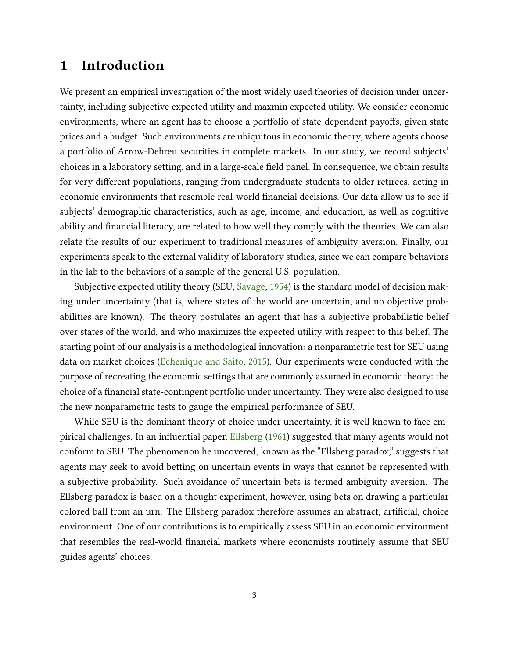# 1 Introduction

We present an empirical investigation of the most widely used theories of decision under uncertainty, including subjective expected utility and maxmin expected utility. We consider economic environments, where an agent has to choose a portfolio of state-dependent payoffs, given state prices and a budget. Such environments are ubiquitous in economic theory, where agents choose a portfolio of Arrow-Debreu securities in complete markets. In our study, we record subjects' choices in a laboratory setting, and in a large-scale field panel. In consequence, we obtain results for very different populations, ranging from undergraduate students to older retirees, acting in economic environments that resemble real-world nancial decisions. Our data allow us to see if subjects' demographic characteristics, such as age, income, and education, as well as cognitive ability and financial literacy, are related to how well they comply with the theories. We can also relate the results of our experiment to traditional measures of ambiguity aversion. Finally, our experiments speak to the external validity of laboratory studies, since we can compare behaviors in the lab to the behaviors of a sample of the general U.S. population.

Subjective expected utility theory (SEU; [Savage,](#page-29-0) [1954\)](#page-29-0) is the standard model of decision making under uncertainty (that is, where states of the world are uncertain, and no objective probabilities are known). The theory postulates an agent that has a subjective probabilistic belief over states of the world, and who maximizes the expected utility with respect to this belief. The starting point of our analysis is a methodological innovation: a nonparametric test for SEU using data on market choices [\(Echenique and Saito,](#page-28-0) [2015\)](#page-28-0). Our experiments were conducted with the purpose of recreating the economic settings that are commonly assumed in economic theory: the choice of a financial state-contingent portfolio under uncertainty. They were also designed to use the new nonparametric tests to gauge the empirical performance of SEU.

While SEU is the dominant theory of choice under uncertainty, it is well known to face em-pirical challenges. In an influential paper, [Ellsberg](#page-28-1) [\(1961\)](#page-28-1) suggested that many agents would not conform to SEU. The phenomenon he uncovered, known as the "Ellsberg paradox," suggests that agents may seek to avoid betting on uncertain events in ways that cannot be represented with a subjective probability. Such avoidance of uncertain bets is termed ambiguity aversion. The Ellsberg paradox is based on a thought experiment, however, using bets on drawing a particular colored ball from an urn. The Ellsberg paradox therefore assumes an abstract, artificial, choice environment. One of our contributions is to empirically assess SEU in an economic environment that resembles the real-world financial markets where economists routinely assume that SEU guides agents' choices.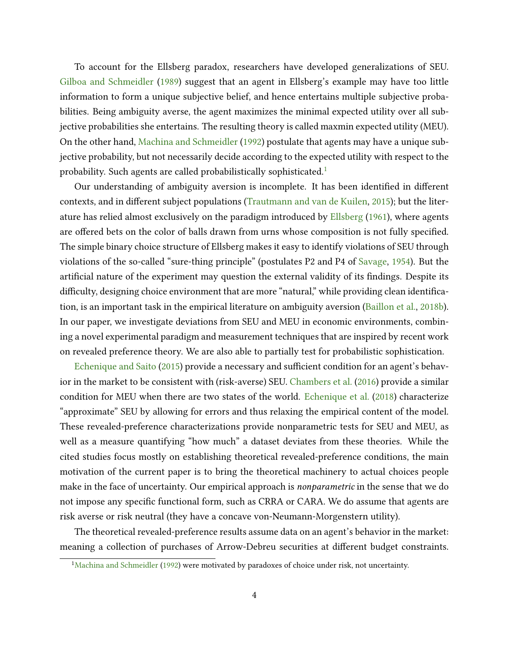To account for the Ellsberg paradox, researchers have developed generalizations of SEU. [Gilboa and Schmeidler](#page-28-2) [\(1989\)](#page-28-2) suggest that an agent in Ellsberg's example may have too little information to form a unique subjective belief, and hence entertains multiple subjective probabilities. Being ambiguity averse, the agent maximizes the minimal expected utility over all subjective probabilities she entertains. The resulting theory is called maxmin expected utility (MEU). On the other hand, [Machina and Schmeidler](#page-29-1) [\(1992\)](#page-29-1) postulate that agents may have a unique subjective probability, but not necessarily decide according to the expected utility with respect to the probability. Such agents are called probabilistically sophisticated.<sup>[1](#page-0-0)</sup>

Our understanding of ambiguity aversion is incomplete. It has been identified in different contexts, and in different subject populations [\(Trautmann and van de Kuilen,](#page-29-2) [2015\)](#page-29-2); but the literature has relied almost exclusively on the paradigm introduced by [Ellsberg](#page-28-1) [\(1961\)](#page-28-1), where agents are offered bets on the color of balls drawn from urns whose composition is not fully specified. The simple binary choice structure of Ellsberg makes it easy to identify violations of SEU through violations of the so-called "sure-thing principle" (postulates P2 and P4 of [Savage,](#page-29-0) [1954\)](#page-29-0). But the artificial nature of the experiment may question the external validity of its findings. Despite its difficulty, designing choice environment that are more "natural," while providing clean identification, is an important task in the empirical literature on ambiguity aversion [\(Baillon et al.,](#page-27-0) [2018b\)](#page-27-0). In our paper, we investigate deviations from SEU and MEU in economic environments, combining a novel experimental paradigm and measurement techniques that are inspired by recent work on revealed preference theory. We are also able to partially test for probabilistic sophistication.

[Echenique and Saito](#page-28-0) [\(2015\)](#page-28-0) provide a necessary and sufficient condition for an agent's behavior in the market to be consistent with (risk-averse) SEU. [Chambers et al.](#page-28-3) [\(2016\)](#page-28-3) provide a similar condition for MEU when there are two states of the world. [Echenique et al.](#page-28-4) [\(2018\)](#page-28-4) characterize "approximate" SEU by allowing for errors and thus relaxing the empirical content of the model. These revealed-preference characterizations provide nonparametric tests for SEU and MEU, as well as a measure quantifying "how much" a dataset deviates from these theories. While the cited studies focus mostly on establishing theoretical revealed-preference conditions, the main motivation of the current paper is to bring the theoretical machinery to actual choices people make in the face of uncertainty. Our empirical approach is nonparametric in the sense that we do not impose any specific functional form, such as CRRA or CARA. We do assume that agents are risk averse or risk neutral (they have a concave von-Neumann-Morgenstern utility).

The theoretical revealed-preference results assume data on an agent's behavior in the market: meaning a collection of purchases of Arrow-Debreu securities at different budget constraints.

<sup>&</sup>lt;sup>1</sup>[Machina and Schmeidler](#page-29-1) [\(1992\)](#page-29-1) were motivated by paradoxes of choice under risk, not uncertainty.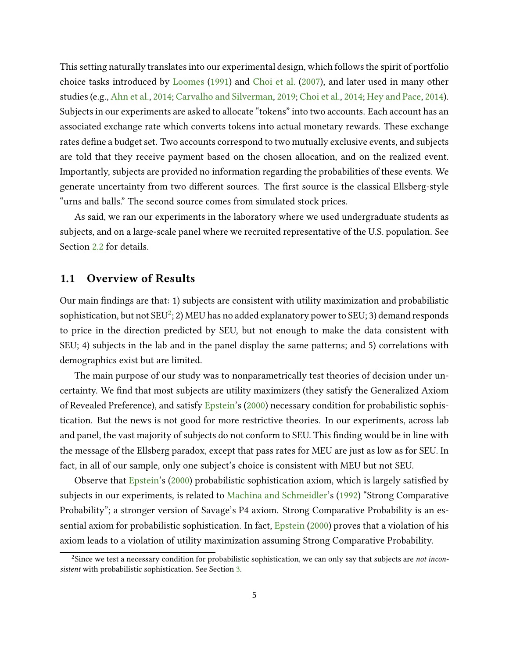This setting naturally translates into our experimental design, which follows the spirit of portfolio choice tasks introduced by [Loomes](#page-29-3) [\(1991\)](#page-29-3) and [Choi et al.](#page-28-5) [\(2007\)](#page-28-5), and later used in many other studies (e.g., [Ahn et al.,](#page-27-1) [2014;](#page-27-1) [Carvalho and Silverman,](#page-27-2) [2019;](#page-27-2) [Choi et al.,](#page-28-6) [2014;](#page-28-6) [Hey and Pace,](#page-29-4) [2014\)](#page-29-4). Subjects in our experiments are asked to allocate "tokens" into two accounts. Each account has an associated exchange rate which converts tokens into actual monetary rewards. These exchange rates define a budget set. Two accounts correspond to two mutually exclusive events, and subjects are told that they receive payment based on the chosen allocation, and on the realized event. Importantly, subjects are provided no information regarding the probabilities of these events. We generate uncertainty from two different sources. The first source is the classical Ellsberg-style "urns and balls." The second source comes from simulated stock prices.

As said, we ran our experiments in the laboratory where we used undergraduate students as subjects, and on a large-scale panel where we recruited representative of the U.S. population. See Section [2.2](#page-11-0) for details.

### 1.1 Overview of Results

Our main findings are that: 1) subjects are consistent with utility maximization and probabilistic sophistication, but not SEU $^2$  $^2$ ; 2) MEU has no added explanatory power to SEU; 3) demand responds to price in the direction predicted by SEU, but not enough to make the data consistent with SEU; 4) subjects in the lab and in the panel display the same patterns; and 5) correlations with demographics exist but are limited.

The main purpose of our study was to nonparametrically test theories of decision under uncertainty. We find that most subjects are utility maximizers (they satisfy the Generalized Axiom of Revealed Preference), and satisfy [Epstein'](#page-28-7)s [\(2000\)](#page-28-7) necessary condition for probabilistic sophistication. But the news is not good for more restrictive theories. In our experiments, across lab and panel, the vast majority of subjects do not conform to SEU. This finding would be in line with the message of the Ellsberg paradox, except that pass rates for MEU are just as low as for SEU. In fact, in all of our sample, only one subject's choice is consistent with MEU but not SEU.

Observe that [Epstein'](#page-28-7)s [\(2000\)](#page-28-7) probabilistic sophistication axiom, which is largely satisfied by subjects in our experiments, is related to [Machina and Schmeidler'](#page-29-1)s [\(1992\)](#page-29-1) "Strong Comparative Probability"; a stronger version of Savage's P4 axiom. Strong Comparative Probability is an essential axiom for probabilistic sophistication. In fact, [Epstein](#page-28-7) [\(2000\)](#page-28-7) proves that a violation of his axiom leads to a violation of utility maximization assuming Strong Comparative Probability.

<sup>&</sup>lt;sup>2</sup>Since we test a necessary condition for probabilistic sophistication, we can only say that subjects are *not incon*sistent with probabilistic sophistication. See Section [3.](#page-13-0)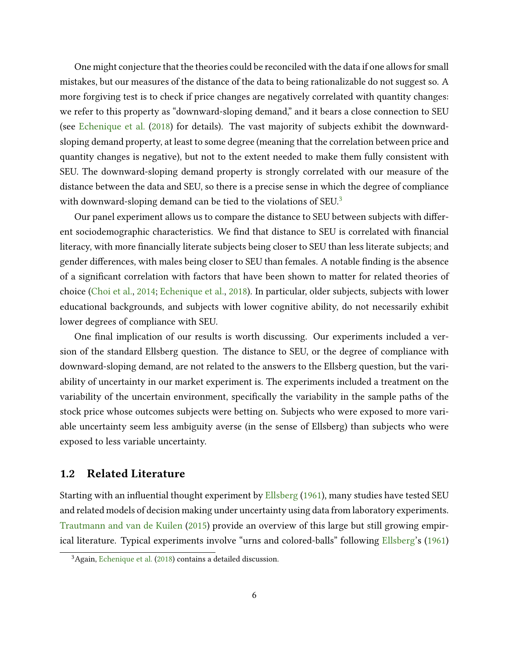One might conjecture that the theories could be reconciled with the data if one allows for small mistakes, but our measures of the distance of the data to being rationalizable do not suggest so. A more forgiving test is to check if price changes are negatively correlated with quantity changes: we refer to this property as "downward-sloping demand," and it bears a close connection to SEU (see [Echenique et al.](#page-28-4) [\(2018\)](#page-28-4) for details). The vast majority of subjects exhibit the downwardsloping demand property, at least to some degree (meaning that the correlation between price and quantity changes is negative), but not to the extent needed to make them fully consistent with SEU. The downward-sloping demand property is strongly correlated with our measure of the distance between the data and SEU, so there is a precise sense in which the degree of compliance with downward-sloping demand can be tied to the violations of SEU.<sup>[3](#page-0-0)</sup>

Our panel experiment allows us to compare the distance to SEU between subjects with different sociodemographic characteristics. We find that distance to SEU is correlated with financial literacy, with more financially literate subjects being closer to SEU than less literate subjects; and gender differences, with males being closer to SEU than females. A notable finding is the absence of a signicant correlation with factors that have been shown to matter for related theories of choice [\(Choi et al.,](#page-28-6) [2014;](#page-28-6) [Echenique et al.,](#page-28-4) [2018\)](#page-28-4). In particular, older subjects, subjects with lower educational backgrounds, and subjects with lower cognitive ability, do not necessarily exhibit lower degrees of compliance with SEU.

One final implication of our results is worth discussing. Our experiments included a version of the standard Ellsberg question. The distance to SEU, or the degree of compliance with downward-sloping demand, are not related to the answers to the Ellsberg question, but the variability of uncertainty in our market experiment is. The experiments included a treatment on the variability of the uncertain environment, specifically the variability in the sample paths of the stock price whose outcomes subjects were betting on. Subjects who were exposed to more variable uncertainty seem less ambiguity averse (in the sense of Ellsberg) than subjects who were exposed to less variable uncertainty.

#### 1.2 Related Literature

Starting with an influential thought experiment by [Ellsberg](#page-28-1) [\(1961\)](#page-28-1), many studies have tested SEU and related models of decision making under uncertainty using data from laboratory experiments. [Trautmann and van de Kuilen](#page-29-2) [\(2015\)](#page-29-2) provide an overview of this large but still growing empirical literature. Typical experiments involve "urns and colored-balls" following [Ellsberg'](#page-28-1)s [\(1961\)](#page-28-1)

<sup>3</sup>Again, [Echenique et al.](#page-28-4) [\(2018\)](#page-28-4) contains a detailed discussion.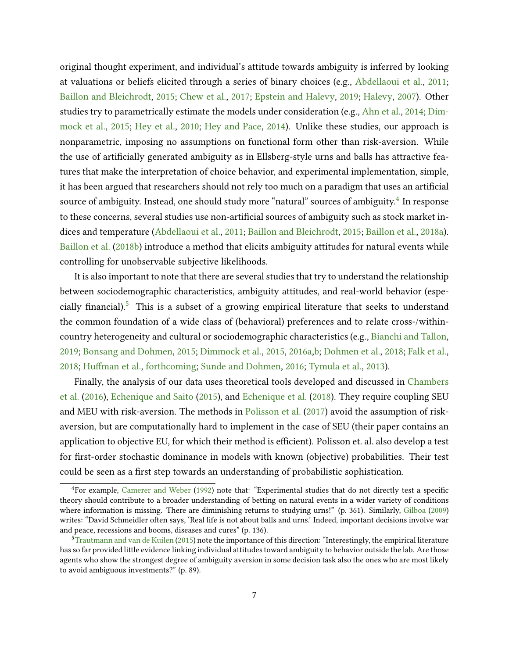original thought experiment, and individual's attitude towards ambiguity is inferred by looking at valuations or beliefs elicited through a series of binary choices (e.g., [Abdellaoui et al.,](#page-27-3) [2011;](#page-27-3) [Baillon and Bleichrodt,](#page-27-4) [2015;](#page-27-4) [Chew et al.,](#page-28-8) [2017;](#page-28-8) [Epstein and Halevy,](#page-28-9) [2019;](#page-28-9) [Halevy,](#page-29-5) [2007\)](#page-29-5). Other studies try to parametrically estimate the models under consideration (e.g., [Ahn et al.,](#page-27-1) [2014;](#page-27-1) [Dim](#page-28-10)[mock et al.,](#page-28-10) [2015;](#page-28-10) [Hey et al.,](#page-29-6) [2010;](#page-29-6) [Hey and Pace,](#page-29-4) [2014\)](#page-29-4). Unlike these studies, our approach is nonparametric, imposing no assumptions on functional form other than risk-aversion. While the use of artificially generated ambiguity as in Ellsberg-style urns and balls has attractive features that make the interpretation of choice behavior, and experimental implementation, simple, it has been argued that researchers should not rely too much on a paradigm that uses an artificial source of ambiguity. Instead, one should study more "natural" sources of ambiguity. $^4$  $^4$  In response to these concerns, several studies use non-artificial sources of ambiguity such as stock market indices and temperature [\(Abdellaoui et al.,](#page-27-3) [2011;](#page-27-3) [Baillon and Bleichrodt,](#page-27-4) [2015;](#page-27-4) [Baillon et al.,](#page-27-5) [2018a\)](#page-27-5). [Baillon et al.](#page-27-0) [\(2018b\)](#page-27-0) introduce a method that elicits ambiguity attitudes for natural events while controlling for unobservable subjective likelihoods.

It is also important to note that there are several studies that try to understand the relationship between sociodemographic characteristics, ambiguity attitudes, and real-world behavior (espe-cially financial).<sup>[5](#page-0-0)</sup> This is a subset of a growing empirical literature that seeks to understand the common foundation of a wide class of (behavioral) preferences and to relate cross-/withincountry heterogeneity and cultural or sociodemographic characteristics (e.g., [Bianchi and Tallon,](#page-27-6) [2019;](#page-27-6) [Bonsang and Dohmen,](#page-27-7) [2015;](#page-27-7) [Dimmock et al.,](#page-28-10) [2015,](#page-28-10) [2016a](#page-28-11)[,b;](#page-28-12) [Dohmen et al.,](#page-28-13) [2018;](#page-28-13) [Falk et al.,](#page-28-14) [2018;](#page-28-14) [Human et al.,](#page-29-7) [forthcoming;](#page-29-7) [Sunde and Dohmen,](#page-29-8) [2016;](#page-29-8) [Tymula et al.,](#page-29-9) [2013\)](#page-29-9).

Finally, the analysis of our data uses theoretical tools developed and discussed in [Chambers](#page-28-3) [et al.](#page-28-3) [\(2016\)](#page-28-3), [Echenique and Saito](#page-28-0) [\(2015\)](#page-28-0), and [Echenique et al.](#page-28-4) [\(2018\)](#page-28-4). They require coupling SEU and MEU with risk-aversion. The methods in [Polisson et al.](#page-29-10) [\(2017\)](#page-29-10) avoid the assumption of riskaversion, but are computationally hard to implement in the case of SEU (their paper contains an application to objective EU, for which their method is efficient). Polisson et. al. also develop a test for first-order stochastic dominance in models with known (objective) probabilities. Their test could be seen as a first step towards an understanding of probabilistic sophistication.

 ${}^{4}$ For example, [Camerer and Weber](#page-27-8) [\(1992\)](#page-27-8) note that: "Experimental studies that do not directly test a specific theory should contribute to a broader understanding of betting on natural events in a wider variety of conditions where information is missing. There are diminishing returns to studying urns!" (p. 361). Similarly, [Gilboa](#page-28-15) [\(2009\)](#page-28-15) writes: "David Schmeidler often says, 'Real life is not about balls and urns.' Indeed, important decisions involve war and peace, recessions and booms, diseases and cures" (p. 136).

 $5$ [Trautmann and van de Kuilen](#page-29-2) [\(2015\)](#page-29-2) note the importance of this direction: "Interestingly, the empirical literature has so far provided little evidence linking individual attitudes toward ambiguity to behavior outside the lab. Are those agents who show the strongest degree of ambiguity aversion in some decision task also the ones who are most likely to avoid ambiguous investments?" (p. 89).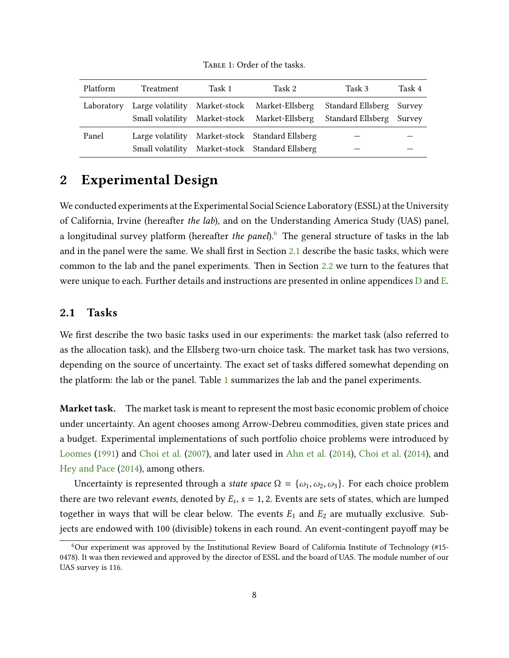<span id="page-7-1"></span>

| Platform   | Treatment | Task 1 | Task 2                                          | Task 3                                                                                      | Task 4 |
|------------|-----------|--------|-------------------------------------------------|---------------------------------------------------------------------------------------------|--------|
| Laboratory |           |        | Large volatility Market-stock Market-Ellsberg   | Standard Ellsberg<br>Small volatility Market-stock Market-Ellsberg Standard Ellsberg Survey | Survey |
| Panel      |           |        | Large volatility Market-stock Standard Ellsberg |                                                                                             |        |
|            |           |        | Small volatility Market-stock Standard Ellsberg |                                                                                             |        |

TABLE 1: Order of the tasks.

# <span id="page-7-2"></span>2 Experimental Design

We conducted experiments at the Experimental Social Science Laboratory (ESSL) at the University of California, Irvine (hereafter the lab), and on the Understanding America Study (UAS) panel, a longitudinal survey platform (hereafter the panel).<sup>[6](#page-0-0)</sup> The general structure of tasks in the lab and in the panel were the same. We shall first in Section [2.1](#page-7-0) describe the basic tasks, which were common to the lab and the panel experiments. Then in Section [2.2](#page-11-0) we turn to the features that were unique to each. Further details and instructions are presented in online appendices D and E.

### <span id="page-7-0"></span>2.1 Tasks

We first describe the two basic tasks used in our experiments: the market task (also referred to as the allocation task), and the Ellsberg two-urn choice task. The market task has two versions, depending on the source of uncertainty. The exact set of tasks differed somewhat depending on the platform: the lab or the panel. Table [1](#page-7-1) summarizes the lab and the panel experiments.

Market task. The market task is meant to represent the most basic economic problem of choice under uncertainty. An agent chooses among Arrow-Debreu commodities, given state prices and a budget. Experimental implementations of such portfolio choice problems were introduced by [Loomes](#page-29-3) [\(1991\)](#page-29-3) and [Choi et al.](#page-28-5) [\(2007\)](#page-28-5), and later used in [Ahn et al.](#page-27-1) [\(2014\)](#page-27-1), [Choi et al.](#page-28-6) [\(2014\)](#page-28-6), and [Hey and Pace](#page-29-4) [\(2014\)](#page-29-4), among others.

Uncertainty is represented through a state space  $\Omega = {\omega_1, \omega_2, \omega_3}$ . For each choice problem there are two relevant *events*, denoted by  $E_s$ ,  $s = 1, 2$ . Events are sets of states, which are lumped together in ways that will be clear below. The events  $E_1$  and  $E_2$  are mutually exclusive. Subjects are endowed with 100 (divisible) tokens in each round. An event-contingent payoff may be

<sup>6</sup>Our experiment was approved by the Institutional Review Board of California Institute of Technology (#15- 0478). It was then reviewed and approved by the director of ESSL and the board of UAS. The module number of our UAS survey is 116.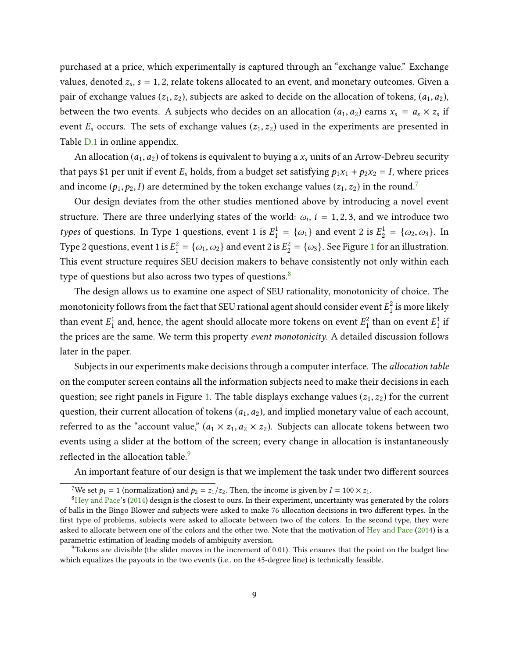purchased at a price, which experimentally is captured through an "exchange value." Exchange values, denoted  $z_s$ ,  $s = 1, 2$ , relate tokens allocated to an event, and monetary outcomes. Given a pair of exchange values  $(z_1, z_2)$ , subjects are asked to decide on the allocation of tokens,  $(a_1, a_2)$ , between the two events. A subjects who decides on an allocation  $(a_1, a_2)$  earns  $x_s = a_s \times z_s$  if event  $E_s$  occurs. The sets of exchange values  $(z_1, z_2)$  used in the experiments are presented in Table D.1 in online appendix.

An allocation  $(a_1, a_2)$  of tokens is equivalent to buying a  $x_s$  units of an Arrow-Debreu security that pays \$1 per unit if event  $E_s$  holds, from a budget set satisfying  $p_1x_1 + p_2x_2 = I$ , where prices and income  $(p_1, p_2, I)$  are determined by the token exchange values  $(z_1, z_2)$  in the round.<sup>[7](#page-0-0)</sup>

Our design deviates from the other studies mentioned above by introducing a novel event structure. There are three underlying states of the world:  $\omega_i$ ,  $i = 1, 2, 3$ , and we introduce two types of questions. In Type 1 questions, event 1 is  $E_1^1 = {\omega_1}$  and event 2 is  $E_2^1 = {\omega_2, \omega_3}$ . In Type 2 questions, event [1](#page-9-0) is  $E_1^2 = {\omega_1, \omega_2}$  and event 2 is  $E_2^2 = {\omega_3}$ . See Figure 1 for an illustration. This event structure requires SEU decision makers to behave consistently not only within each type of questions but also across two types of questions.<sup>[8](#page-0-0)</sup>

The design allows us to examine one aspect of SEU rationality, monotonicity of choice. The monotonicity follows from the fact that SEU rational agent should consider event  $E_1^\mathrm{2}$  $\frac{2}{1}$  is more likely than event  $E_1^1$  $\frac{1}{1}$  and, hence, the agent should allocate more tokens on event  $E_1^2$  $_1^2$  than on event  $E_1^1$  $\frac{1}{1}$  if the prices are the same. We term this property event monotonicity. A detailed discussion follows later in the paper.

Subjects in our experiments make decisions through a computer interface. The *allocation table* on the computer screen contains all the information subjects need to make their decisions in each question; see right panels in Figure [1.](#page-9-0) The table displays exchange values  $(z_1, z_2)$  for the current question, their current allocation of tokens  $(a_1, a_2)$ , and implied monetary value of each account, referred to as the "account value,"  $(a_1 \times z_1, a_2 \times z_2)$ . Subjects can allocate tokens between two events using a slider at the bottom of the screen; every change in allocation is instantaneously reflected in the allocation table.<sup>[9](#page-0-0)</sup>

An important feature of our design is that we implement the task under two different sources

<sup>&</sup>lt;sup>7</sup>We set  $p_1 = 1$  (normalization) and  $p_2 = z_1/z_2$ . Then, the income is given by  $I = 100 \times z_1$ .

 ${}^{8}$ [Hey and Pace'](#page-29-4)s [\(2014\)](#page-29-4) design is the closest to ours. In their experiment, uncertainty was generated by the colors of balls in the Bingo Blower and subjects were asked to make 76 allocation decisions in two different types. In the first type of problems, subjects were asked to allocate between two of the colors. In the second type, they were asked to allocate between one of the colors and the other two. Note that the motivation of [Hey and Pace](#page-29-4) [\(2014\)](#page-29-4) is a parametric estimation of leading models of ambiguity aversion.

 $9^9$ Tokens are divisible (the slider moves in the increment of 0.01). This ensures that the point on the budget line which equalizes the payouts in the two events (i.e., on the 45-degree line) is technically feasible.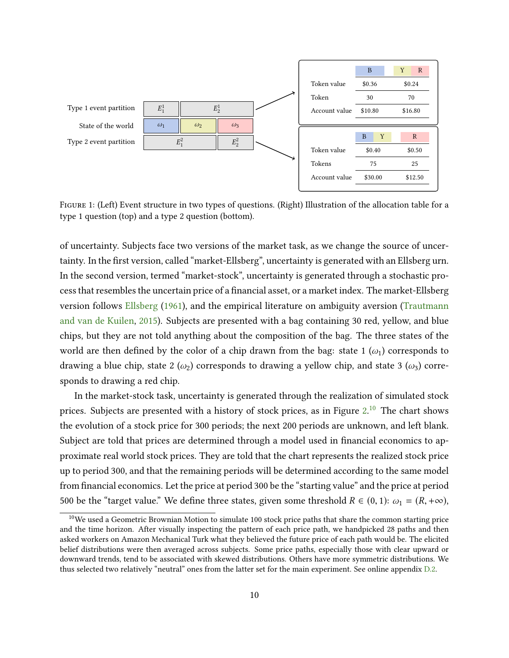<span id="page-9-0"></span>

Figure 1: (Left) Event structure in two types of questions. (Right) Illustration of the allocation table for a type 1 question (top) and a type 2 question (bottom).

of uncertainty. Subjects face two versions of the market task, as we change the source of uncertainty. In the first version, called "market-Ellsberg", uncertainty is generated with an Ellsberg urn. In the second version, termed "market-stock", uncertainty is generated through a stochastic process that resembles the uncertain price of a financial asset, or a market index. The market-Ellsberg version follows [Ellsberg](#page-28-1) [\(1961\)](#page-28-1), and the empirical literature on ambiguity aversion [\(Trautmann](#page-29-2) [and van de Kuilen,](#page-29-2) [2015\)](#page-29-2). Subjects are presented with a bag containing 30 red, yellow, and blue chips, but they are not told anything about the composition of the bag. The three states of the world are then defined by the color of a chip drawn from the bag: state 1  $(\omega_1)$  corresponds to drawing a blue chip, state 2  $(\omega_2)$  corresponds to drawing a yellow chip, and state 3  $(\omega_3)$  corresponds to drawing a red chip.

In the market-stock task, uncertainty is generated through the realization of simulated stock prices. Subjects are presented with a history of stock prices, as in Figure  $2.^{\bf 10}$  $2.^{\bf 10}$  $2.^{\bf 10}$  $2.^{\bf 10}$  The chart shows the evolution of a stock price for 300 periods; the next 200 periods are unknown, and left blank. Subject are told that prices are determined through a model used in financial economics to approximate real world stock prices. They are told that the chart represents the realized stock price up to period 300, and that the remaining periods will be determined according to the same model from financial economics. Let the price at period 300 be the "starting value" and the price at period 500 be the "target value." We define three states, given some threshold  $R \in (0, 1)$ :  $\omega_1 = (R, +\infty)$ ,

<sup>&</sup>lt;sup>10</sup>We used a Geometric Brownian Motion to simulate 100 stock price paths that share the common starting price and the time horizon. After visually inspecting the pattern of each price path, we handpicked 28 paths and then asked workers on Amazon Mechanical Turk what they believed the future price of each path would be. The elicited belief distributions were then averaged across subjects. Some price paths, especially those with clear upward or downward trends, tend to be associated with skewed distributions. Others have more symmetric distributions. We thus selected two relatively "neutral" ones from the latter set for the main experiment. See online appendix D.2.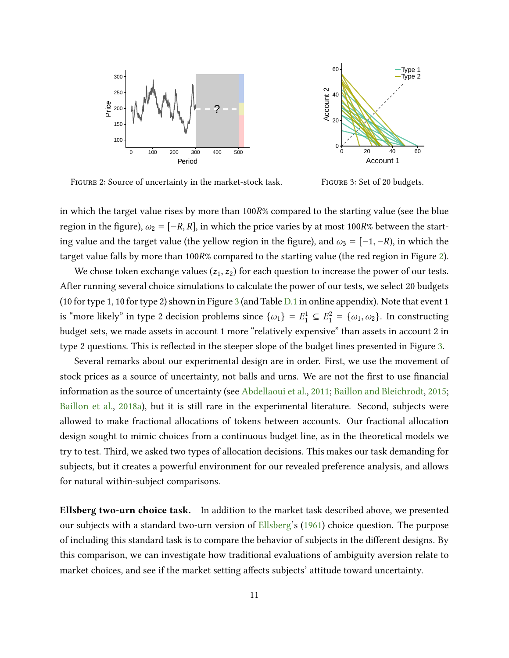<span id="page-10-0"></span>



Figure 2: Source of uncertainty in the market-stock task.

Figure 3: Set of 20 budgets.

in which the target value rises by more than 100R% compared to the starting value (see the blue region in the figure),  $\omega_2 = [-R, R]$ , in which the price varies by at most 100R% between the starting value and the target value (the yellow region in the figure), and  $\omega_3 = [-1, -R)$ , in which the target value falls by more than 100R% compared to the starting value (the red region in Figure [2\)](#page-10-0).

We chose token exchange values  $(z_1, z_2)$  for each question to increase the power of our tests. After running several choice simulations to calculate the power of our tests, we select 20 budgets (10 for type 1, 10 for type 2) shown in Figure [3](#page-10-0) (and Table D.1 in online appendix). Note that event 1 is "more likely" in type 2 decision problems since  $\{\omega_1\} = E_1^1 \subseteq E_1^2 = \{\omega_1, \omega_2\}$ . In constructing budget sets, we made assets in account 1 more "relatively expensive" than assets in account 2 in type 2 questions. This is reflected in the steeper slope of the budget lines presented in Figure [3.](#page-10-0)

Several remarks about our experimental design are in order. First, we use the movement of stock prices as a source of uncertainty, not balls and urns. We are not the first to use financial information as the source of uncertainty (see [Abdellaoui et al.,](#page-27-3) [2011;](#page-27-3) [Baillon and Bleichrodt,](#page-27-4) [2015;](#page-27-4) [Baillon et al.,](#page-27-5) [2018a\)](#page-27-5), but it is still rare in the experimental literature. Second, subjects were allowed to make fractional allocations of tokens between accounts. Our fractional allocation design sought to mimic choices from a continuous budget line, as in the theoretical models we try to test. Third, we asked two types of allocation decisions. This makes our task demanding for subjects, but it creates a powerful environment for our revealed preference analysis, and allows for natural within-subject comparisons.

Ellsberg two-urn choice task. In addition to the market task described above, we presented our subjects with a standard two-urn version of [Ellsberg'](#page-28-1)s [\(1961\)](#page-28-1) choice question. The purpose of including this standard task is to compare the behavior of subjects in the different designs. By this comparison, we can investigate how traditional evaluations of ambiguity aversion relate to market choices, and see if the market setting affects subjects' attitude toward uncertainty.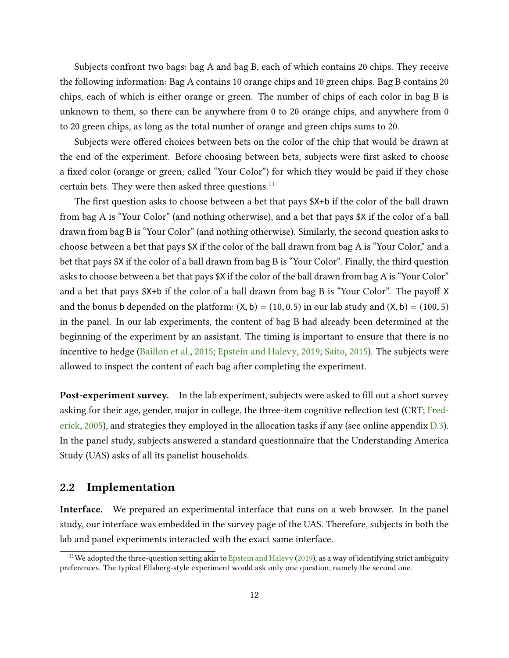Subjects confront two bags: bag A and bag B, each of which contains 20 chips. They receive the following information: Bag A contains 10 orange chips and 10 green chips. Bag B contains 20 chips, each of which is either orange or green. The number of chips of each color in bag B is unknown to them, so there can be anywhere from 0 to 20 orange chips, and anywhere from 0 to 20 green chips, as long as the total number of orange and green chips sums to 20.

Subjects were offered choices between bets on the color of the chip that would be drawn at the end of the experiment. Before choosing between bets, subjects were first asked to choose a fixed color (orange or green; called "Your Color") for which they would be paid if they chose certain bets. They were then asked three questions. $^{11}$  $^{11}$  $^{11}$ 

The first question asks to choose between a bet that pays \$X+b if the color of the ball drawn from bag A is "Your Color" (and nothing otherwise), and a bet that pays \$X if the color of a ball drawn from bag B is "Your Color" (and nothing otherwise). Similarly, the second question asks to choose between a bet that pays \$X if the color of the ball drawn from bag A is "Your Color," and a bet that pays \$X if the color of a ball drawn from bag B is "Your Color". Finally, the third question asks to choose between a bet that pays \$X if the color of the ball drawn from bag A is "Your Color" and a bet that pays  $X+b$  if the color of a ball drawn from bag B is "Your Color". The payoff X and the bonus b depended on the platform:  $(X, b) = (10, 0.5)$  in our lab study and  $(X, b) = (100, 5)$ in the panel. In our lab experiments, the content of bag B had already been determined at the beginning of the experiment by an assistant. The timing is important to ensure that there is no incentive to hedge [\(Baillon et al.,](#page-27-9) [2015;](#page-27-9) [Epstein and Halevy,](#page-28-9) [2019;](#page-28-9) [Saito,](#page-29-11) [2015\)](#page-29-11). The subjects were allowed to inspect the content of each bag after completing the experiment.

**Post-experiment survey.** In the lab experiment, subjects were asked to fill out a short survey asking for their age, gender, major in college, the three-item cognitive reflection test (CRT; [Fred](#page-28-16)[erick,](#page-28-16) [2005\)](#page-28-16), and strategies they employed in the allocation tasks if any (see online appendix D.3). In the panel study, subjects answered a standard questionnaire that the Understanding America Study (UAS) asks of all its panelist households.

#### <span id="page-11-0"></span>2.2 Implementation

Interface. We prepared an experimental interface that runs on a web browser. In the panel study, our interface was embedded in the survey page of the UAS. Therefore, subjects in both the lab and panel experiments interacted with the exact same interface.

<sup>&</sup>lt;sup>11</sup>We adopted the three-question setting akin to [Epstein and Halevy](#page-28-9) [\(2019\)](#page-28-9), as a way of identifying strict ambiguity preferences. The typical Ellsberg-style experiment would ask only one question, namely the second one.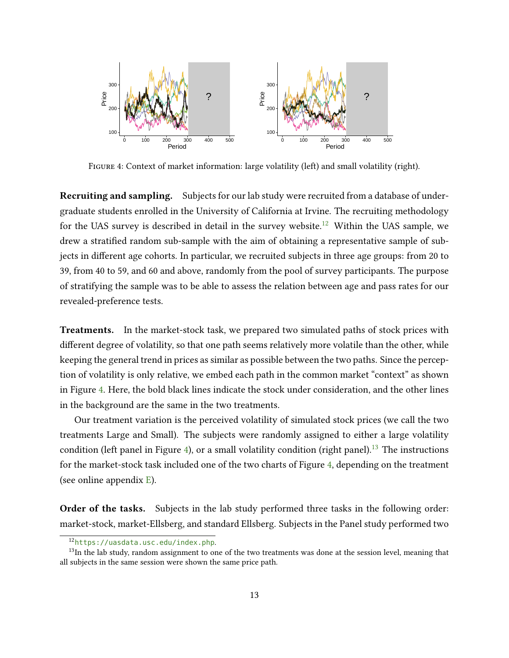<span id="page-12-0"></span>

Figure 4: Context of market information: large volatility (left) and small volatility (right).

Recruiting and sampling. Subjects for our lab study were recruited from a database of undergraduate students enrolled in the University of California at Irvine. The recruiting methodology for the UAS survey is described in detail in the survey website.<sup>[12](#page-0-0)</sup> Within the UAS sample, we drew a stratified random sub-sample with the aim of obtaining a representative sample of subjects in different age cohorts. In particular, we recruited subjects in three age groups: from 20 to 39, from 40 to 59, and 60 and above, randomly from the pool of survey participants. The purpose of stratifying the sample was to be able to assess the relation between age and pass rates for our revealed-preference tests.

Treatments. In the market-stock task, we prepared two simulated paths of stock prices with different degree of volatility, so that one path seems relatively more volatile than the other, while keeping the general trend in prices as similar as possible between the two paths. Since the perception of volatility is only relative, we embed each path in the common market "context" as shown in Figure [4.](#page-12-0) Here, the bold black lines indicate the stock under consideration, and the other lines in the background are the same in the two treatments.

Our treatment variation is the perceived volatility of simulated stock prices (we call the two treatments Large and Small). The subjects were randomly assigned to either a large volatility condition (left panel in Figure [4\)](#page-12-0), or a small volatility condition (right panel).<sup>[13](#page-0-0)</sup> The instructions for the market-stock task included one of the two charts of Figure [4,](#page-12-0) depending on the treatment (see online appendix E).

Order of the tasks. Subjects in the lab study performed three tasks in the following order: market-stock, market-Ellsberg, and standard Ellsberg. Subjects in the Panel study performed two

<sup>12</sup><https://uasdata.usc.edu/index.php>.

<sup>&</sup>lt;sup>13</sup>In the lab study, random assignment to one of the two treatments was done at the session level, meaning that all subjects in the same session were shown the same price path.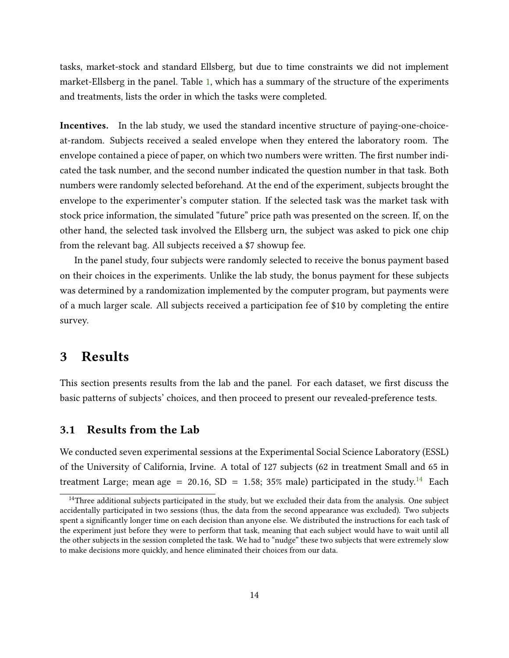tasks, market-stock and standard Ellsberg, but due to time constraints we did not implement market-Ellsberg in the panel. Table [1,](#page-7-1) which has a summary of the structure of the experiments and treatments, lists the order in which the tasks were completed.

Incentives. In the lab study, we used the standard incentive structure of paying-one-choiceat-random. Subjects received a sealed envelope when they entered the laboratory room. The envelope contained a piece of paper, on which two numbers were written. The first number indicated the task number, and the second number indicated the question number in that task. Both numbers were randomly selected beforehand. At the end of the experiment, subjects brought the envelope to the experimenter's computer station. If the selected task was the market task with stock price information, the simulated "future" price path was presented on the screen. If, on the other hand, the selected task involved the Ellsberg urn, the subject was asked to pick one chip from the relevant bag. All subjects received a \$7 showup fee.

In the panel study, four subjects were randomly selected to receive the bonus payment based on their choices in the experiments. Unlike the lab study, the bonus payment for these subjects was determined by a randomization implemented by the computer program, but payments were of a much larger scale. All subjects received a participation fee of \$10 by completing the entire survey.

# <span id="page-13-0"></span>3 Results

This section presents results from the lab and the panel. For each dataset, we first discuss the basic patterns of subjects' choices, and then proceed to present our revealed-preference tests.

### 3.1 Results from the Lab

We conducted seven experimental sessions at the Experimental Social Science Laboratory (ESSL) of the University of California, Irvine. A total of 127 subjects (62 in treatment Small and 65 in treatment Large; mean age = 20.16, SD = 1.58; 35% male) participated in the study.<sup>[14](#page-0-0)</sup> Each

<sup>&</sup>lt;sup>14</sup>Three additional subjects participated in the study, but we excluded their data from the analysis. One subject accidentally participated in two sessions (thus, the data from the second appearance was excluded). Two subjects spent a significantly longer time on each decision than anyone else. We distributed the instructions for each task of the experiment just before they were to perform that task, meaning that each subject would have to wait until all the other subjects in the session completed the task. We had to "nudge" these two subjects that were extremely slow to make decisions more quickly, and hence eliminated their choices from our data.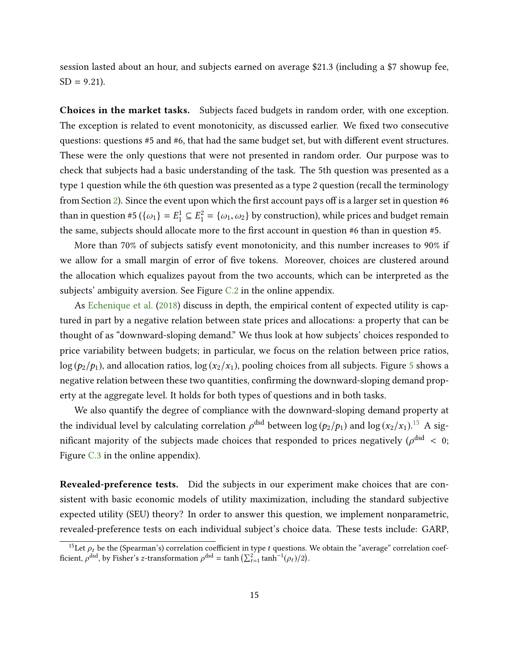session lasted about an hour, and subjects earned on average \$21.3 (including a \$7 showup fee,  $SD = 9.21$ ).

Choices in the market tasks. Subjects faced budgets in random order, with one exception. The exception is related to event monotonicity, as discussed earlier. We fixed two consecutive questions: questions #5 and #6, that had the same budget set, but with different event structures. These were the only questions that were not presented in random order. Our purpose was to check that subjects had a basic understanding of the task. The 5th question was presented as a type 1 question while the 6th question was presented as a type 2 question (recall the terminology from Section [2\)](#page-7-2). Since the event upon which the first account pays off is a larger set in question  $#6$ than in question #5 ( $\{\omega_1\} = E_1^1 \subseteq E_1^2 = \{\omega_1, \omega_2\}$  by construction), while prices and budget remain the same, subjects should allocate more to the first account in question  $#6$  than in question  $#5$ .

More than 70% of subjects satisfy event monotonicity, and this number increases to 90% if we allow for a small margin of error of five tokens. Moreover, choices are clustered around the allocation which equalizes payout from the two accounts, which can be interpreted as the subjects' ambiguity aversion. See Figure C.2 in the online appendix.

As [Echenique et al.](#page-28-4) [\(2018\)](#page-28-4) discuss in depth, the empirical content of expected utility is captured in part by a negative relation between state prices and allocations: a property that can be thought of as "downward-sloping demand." We thus look at how subjects' choices responded to price variability between budgets; in particular, we focus on the relation between price ratios,  $\log (p_2/p_1)$ , and allocation ratios,  $\log (x_2/x_1)$ , pooling choices from all subjects. Figure [5](#page-15-0) shows a negative relation between these two quantities, confirming the downward-sloping demand property at the aggregate level. It holds for both types of questions and in both tasks.

We also quantify the degree of compliance with the downward-sloping demand property at the individual level by calculating correlation  $\rho^\text{dsd}$  between log ( $p_2/p_1$ ) and log ( $x_2/x_1$ ). $^{15}$  $^{15}$  $^{15}$  A significant majority of the subjects made choices that responded to prices negatively ( $\rho^{\text{dsd}} < 0$ ; Figure C.3 in the online appendix).

Revealed-preference tests. Did the subjects in our experiment make choices that are consistent with basic economic models of utility maximization, including the standard subjective expected utility (SEU) theory? In order to answer this question, we implement nonparametric, revealed-preference tests on each individual subject's choice data. These tests include: GARP,

<sup>&</sup>lt;sup>15</sup>Let  $\rho_t$  be the (Spearman's) correlation coefficient in type t questions. We obtain the "average" correlation coefficient,  $\rho^{\text{dsd}}$ , by Fisher's z-transformation  $\rho^{\text{dsd}} = \tanh\left(\sum_{t=1}^{2} \tanh^{-1}(\rho_t)/2\right)$ .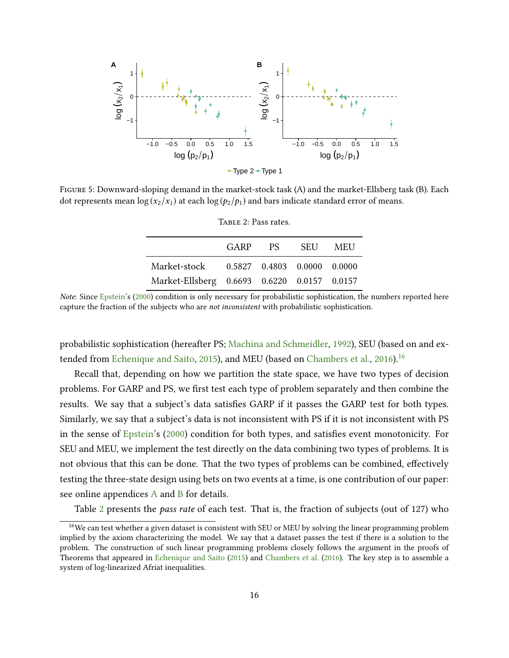<span id="page-15-0"></span>

<span id="page-15-1"></span>Figure 5: Downward-sloping demand in the market-stock task (A) and the market-Ellsberg task (B). Each dot represents mean  $\log(x_2/x_1)$  at each  $\log(p_2/p_1)$  and bars indicate standard error of means.

|                                             | TABLE 2: Pass fales. |             |       |
|---------------------------------------------|----------------------|-------------|-------|
|                                             |                      | GARP PS SEU | – MEU |
| Market-stock 0.5827 0.4803 0.0000 0.0000    |                      |             |       |
| Market-Ellsberg 0.6693 0.6220 0.0157 0.0157 |                      |             |       |

 $T_{\text{target}}$  2:  $P_{\text{target}}$ 

probabilistic sophistication (hereafter PS; [Machina and Schmeidler,](#page-29-1) [1992\)](#page-29-1), SEU (based on and ex-tended from [Echenique and Saito,](#page-28-0) [2015\)](#page-28-0), and MEU (based on [Chambers et al.,](#page-28-3) [2016\)](#page-28-3).<sup>[16](#page-0-0)</sup>

Recall that, depending on how we partition the state space, we have two types of decision problems. For GARP and PS, we first test each type of problem separately and then combine the results. We say that a subject's data satisfies GARP if it passes the GARP test for both types. Similarly, we say that a subject's data is not inconsistent with PS if it is not inconsistent with PS in the sense of [Epstein'](#page-28-7)s [\(2000\)](#page-28-7) condition for both types, and satisfies event monotonicity. For SEU and MEU, we implement the test directly on the data combining two types of problems. It is not obvious that this can be done. That the two types of problems can be combined, effectively testing the three-state design using bets on two events at a time, is one contribution of our paper: see online appendices A and B for details.

Table [2](#page-15-1) presents the *pass rate* of each test. That is, the fraction of subjects (out of 127) who

Note: Since [Epstein'](#page-28-7)s [\(2000\)](#page-28-7) condition is only necessary for probabilistic sophistication, the numbers reported here capture the fraction of the subjects who are not inconsistent with probabilistic sophistication.

<sup>&</sup>lt;sup>16</sup>We can test whether a given dataset is consistent with SEU or MEU by solving the linear programming problem implied by the axiom characterizing the model. We say that a dataset passes the test if there is a solution to the problem. The construction of such linear programming problems closely follows the argument in the proofs of Theorems that appeared in [Echenique and Saito](#page-28-0) [\(2015\)](#page-28-0) and [Chambers et al.](#page-28-3) [\(2016\)](#page-28-3). The key step is to assemble a system of log-linearized Afriat inequalities.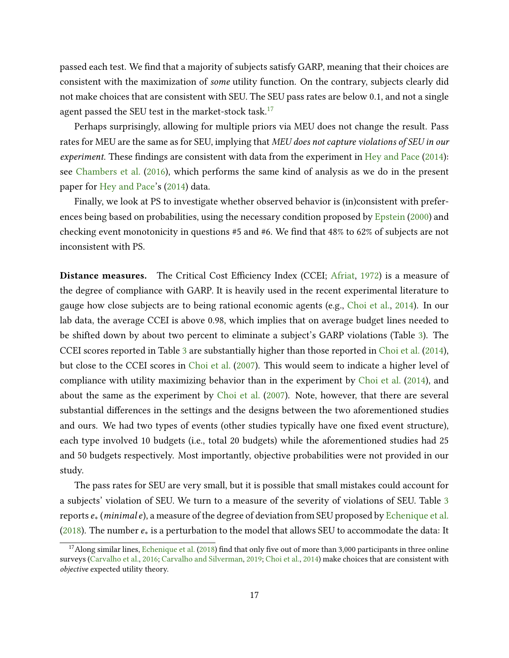passed each test. We find that a majority of subjects satisfy GARP, meaning that their choices are consistent with the maximization of some utility function. On the contrary, subjects clearly did not make choices that are consistent with SEU. The SEU pass rates are below 0.1, and not a single agent passed the SEU test in the market-stock task.<sup>[17](#page-0-0)</sup>

Perhaps surprisingly, allowing for multiple priors via MEU does not change the result. Pass rates for MEU are the same as for SEU, implying that MEU does not capture violations of SEU in our experiment. These findings are consistent with data from the experiment in [Hey and Pace](#page-29-4)  $(2014)$ : see [Chambers et al.](#page-28-3) [\(2016\)](#page-28-3), which performs the same kind of analysis as we do in the present paper for [Hey and Pace'](#page-29-4)s [\(2014\)](#page-29-4) data.

Finally, we look at PS to investigate whether observed behavior is (in)consistent with preferences being based on probabilities, using the necessary condition proposed by [Epstein](#page-28-7) [\(2000\)](#page-28-7) and checking event monotonicity in questions  $#5$  and  $#6$ . We find that  $48\%$  to  $62\%$  of subjects are not inconsistent with PS.

Distance measures. The Critical Cost Efficiency Index (CCEI; [Afriat,](#page-27-10) [1972\)](#page-27-10) is a measure of the degree of compliance with GARP. It is heavily used in the recent experimental literature to gauge how close subjects are to being rational economic agents (e.g., [Choi et al.,](#page-28-6) [2014\)](#page-28-6). In our lab data, the average CCEI is above 0.98, which implies that on average budget lines needed to be shifted down by about two percent to eliminate a subject's GARP violations (Table [3\)](#page-17-0). The CCEI scores reported in Table [3](#page-17-0) are substantially higher than those reported in [Choi et al.](#page-28-6) [\(2014\)](#page-28-6), but close to the CCEI scores in [Choi et al.](#page-28-5) [\(2007\)](#page-28-5). This would seem to indicate a higher level of compliance with utility maximizing behavior than in the experiment by [Choi et al.](#page-28-6) [\(2014\)](#page-28-6), and about the same as the experiment by [Choi et al.](#page-28-5) [\(2007\)](#page-28-5). Note, however, that there are several substantial differences in the settings and the designs between the two aforementioned studies and ours. We had two types of events (other studies typically have one fixed event structure), each type involved 10 budgets (i.e., total 20 budgets) while the aforementioned studies had 25 and 50 budgets respectively. Most importantly, objective probabilities were not provided in our study.

The pass rates for SEU are very small, but it is possible that small mistakes could account for a subjects' violation of SEU. We turn to a measure of the severity of violations of SEU. Table [3](#page-17-0) reports  $e$ <sub>∗</sub> (*minimale*), a measure of the degree of deviation from SEU proposed by [Echenique et al.](#page-28-4) [\(2018\)](#page-28-4). The number  $e_*$  is a perturbation to the model that allows SEU to accommodate the data: It

 $17$ Along similar lines, [Echenique et al.](#page-28-4) [\(2018\)](#page-28-4) find that only five out of more than 3,000 participants in three online surveys [\(Carvalho et al.,](#page-27-11) [2016;](#page-27-11) [Carvalho and Silverman,](#page-27-2) [2019;](#page-27-2) [Choi et al.,](#page-28-6) [2014\)](#page-28-6) make choices that are consistent with objective expected utility theory.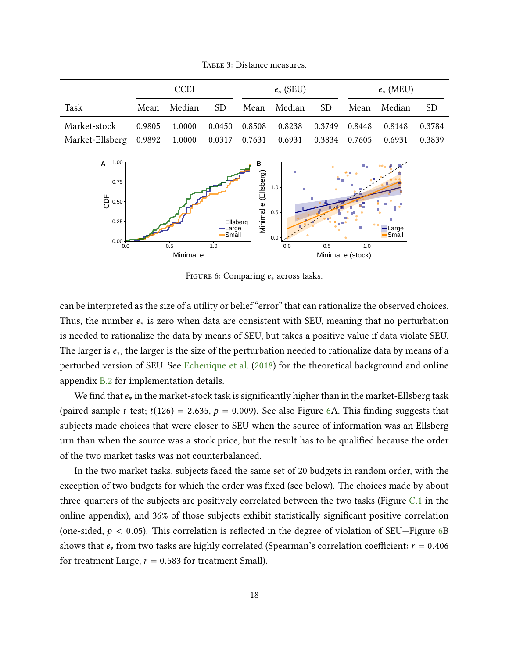<span id="page-17-0"></span>

|                                                                  | <b>CCEI</b> |                                                  |     | $e_*$ (SEU) |                |  | $e_*$ (MEU) |        |        |
|------------------------------------------------------------------|-------------|--------------------------------------------------|-----|-------------|----------------|--|-------------|--------|--------|
| Task                                                             |             | Mean Median                                      | SD. |             | Mean Median SD |  | Mean        | Median | SD.    |
| Market-stock                                                     |             | 0.9805 1.0000 0.0450 0.8508 0.8238 0.3749 0.8448 |     |             |                |  |             | 0.8148 | 0.3784 |
| Market-Ellsberg 0.9892 1.0000 0.0317 0.7631 0.6931 0.3834 0.7605 |             |                                                  |     |             |                |  |             | 0.6931 | 0.3839 |

TABLE 3: Distance measures.

<span id="page-17-1"></span>

FIGURE 6: Comparing  $e_*$  across tasks.

can be interpreted as the size of a utility or belief "error" that can rationalize the observed choices. Thus, the number  $e_{*}$  is zero when data are consistent with SEU, meaning that no perturbation is needed to rationalize the data by means of SEU, but takes a positive value if data violate SEU. The larger is e∗, the larger is the size of the perturbation needed to rationalize data by means of a perturbed version of SEU. See [Echenique et al.](#page-28-4) [\(2018\)](#page-28-4) for the theoretical background and online appendix B.2 for implementation details.

We find that  $e_*$  in the market-stock task is significantly higher than in the market-Ellsberg task (paired-sample *t*-test;  $t(126) = 2.635$ ,  $p = 0.009$ ). See also Figure [6A](#page-17-1). This finding suggests that subjects made choices that were closer to SEU when the source of information was an Ellsberg urn than when the source was a stock price, but the result has to be qualified because the order of the two market tasks was not counterbalanced.

In the two market tasks, subjects faced the same set of 20 budgets in random order, with the exception of two budgets for which the order was fixed (see below). The choices made by about three-quarters of the subjects are positively correlated between the two tasks (Figure C.1 in the online appendix), and 36% of those subjects exhibit statistically significant positive correlation (one-sided,  $p < 0.05$ ). This correlation is reflected in the degree of violation of SEU—Figure [6B](#page-17-1) shows that  $e_*$  from two tasks are highly correlated (Spearman's correlation coefficient:  $r = 0.406$ ) for treatment Large,  $r = 0.583$  for treatment Small).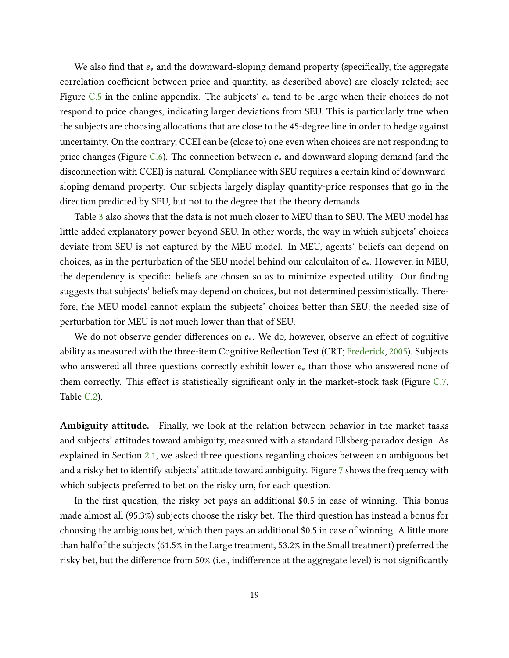We also find that  $e_*$  and the downward-sloping demand property (specifically, the aggregate correlation coefficient between price and quantity, as described above) are closely related; see Figure C.5 in the online appendix. The subjects'  $e<sub>*</sub>$  tend to be large when their choices do not respond to price changes, indicating larger deviations from SEU. This is particularly true when the subjects are choosing allocations that are close to the 45-degree line in order to hedge against uncertainty. On the contrary, CCEI can be (close to) one even when choices are not responding to price changes (Figure C.6). The connection between  $e_*$  and downward sloping demand (and the disconnection with CCEI) is natural. Compliance with SEU requires a certain kind of downwardsloping demand property. Our subjects largely display quantity-price responses that go in the direction predicted by SEU, but not to the degree that the theory demands.

Table [3](#page-17-0) also shows that the data is not much closer to MEU than to SEU. The MEU model has little added explanatory power beyond SEU. In other words, the way in which subjects' choices deviate from SEU is not captured by the MEU model. In MEU, agents' beliefs can depend on choices, as in the perturbation of the SEU model behind our calculaiton of  $e_{*}$ . However, in MEU, the dependency is specific: beliefs are chosen so as to minimize expected utility. Our finding suggests that subjects' beliefs may depend on choices, but not determined pessimistically. Therefore, the MEU model cannot explain the subjects' choices better than SEU; the needed size of perturbation for MEU is not much lower than that of SEU.

We do not observe gender differences on  $e_{*}$ . We do, however, observe an effect of cognitive ability as measured with the three-item Cognitive Reflection Test (CRT; [Frederick,](#page-28-16) [2005\)](#page-28-16). Subjects who answered all three questions correctly exhibit lower  $e_{*}$  than those who answered none of them correctly. This effect is statistically significant only in the market-stock task (Figure  $C.7$ , Table C.2).

Ambiguity attitude. Finally, we look at the relation between behavior in the market tasks and subjects' attitudes toward ambiguity, measured with a standard Ellsberg-paradox design. As explained in Section [2.1,](#page-7-0) we asked three questions regarding choices between an ambiguous bet and a risky bet to identify subjects' attitude toward ambiguity. Figure [7](#page-19-0) shows the frequency with which subjects preferred to bet on the risky urn, for each question.

In the first question, the risky bet pays an additional  $$0.5$  in case of winning. This bonus made almost all (95.3%) subjects choose the risky bet. The third question has instead a bonus for choosing the ambiguous bet, which then pays an additional \$0.5 in case of winning. A little more than half of the subjects (61.5% in the Large treatment, 53.2% in the Small treatment) preferred the risky bet, but the difference from  $50\%$  (i.e., indifference at the aggregate level) is not significantly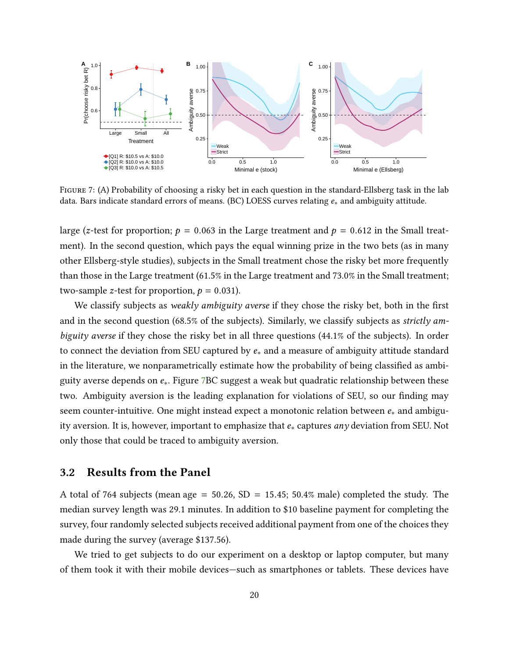<span id="page-19-0"></span>

FIGURE 7: (A) Probability of choosing a risky bet in each question in the standard-Ellsberg task in the lab data. Bars indicate standard errors of means. (BC) LOESS curves relating e∗ and ambiguity attitude.

large (z-test for proportion;  $p = 0.063$  in the Large treatment and  $p = 0.612$  in the Small treatment). In the second question, which pays the equal winning prize in the two bets (as in many other Ellsberg-style studies), subjects in the Small treatment chose the risky bet more frequently than those in the Large treatment (61.5% in the Large treatment and 73.0% in the Small treatment; two-sample z-test for proportion,  $p = 0.031$ ).

We classify subjects as weakly ambiguity averse if they chose the risky bet, both in the first and in the second question (68.5% of the subjects). Similarly, we classify subjects as strictly ambiguity averse if they chose the risky bet in all three questions (44.1% of the subjects). In order to connect the deviation from SEU captured by  $e_*$  and a measure of ambiguity attitude standard in the literature, we nonparametrically estimate how the probability of being classified as ambiguity averse depends on  $e_{*}$ . Figure [7B](#page-19-0)C suggest a weak but quadratic relationship between these two. Ambiguity aversion is the leading explanation for violations of SEU, so our finding may seem counter-intuitive. One might instead expect a monotonic relation between  $e_*$  and ambiguity aversion. It is, however, important to emphasize that  $e_*$  captures any deviation from SEU. Not only those that could be traced to ambiguity aversion.

#### 3.2 Results from the Panel

A total of 764 subjects (mean age =  $50.26$ , SD =  $15.45$ ;  $50.4\%$  male) completed the study. The median survey length was 29.1 minutes. In addition to \$10 baseline payment for completing the survey, four randomly selected subjects received additional payment from one of the choices they made during the survey (average \$137.56).

We tried to get subjects to do our experiment on a desktop or laptop computer, but many of them took it with their mobile devices—such as smartphones or tablets. These devices have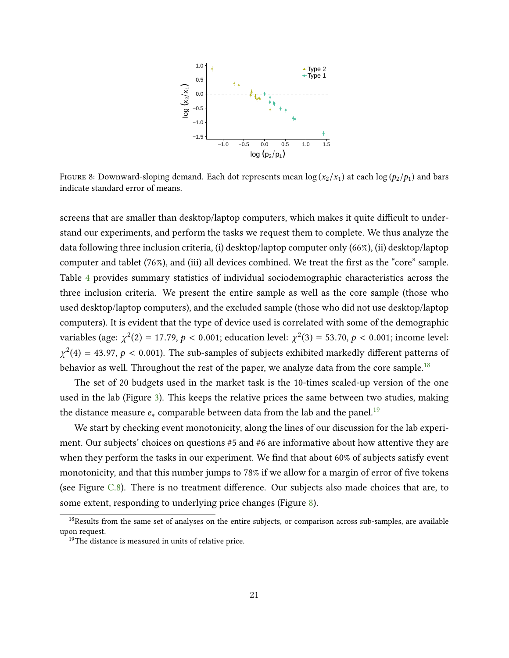<span id="page-20-0"></span>

FIGURE 8: Downward-sloping demand. Each dot represents mean  $\log(x_2/x_1)$  at each  $\log(p_2/p_1)$  and bars indicate standard error of means.

screens that are smaller than desktop/laptop computers, which makes it quite difficult to understand our experiments, and perform the tasks we request them to complete. We thus analyze the data following three inclusion criteria, (i) desktop/laptop computer only (66%), (ii) desktop/laptop computer and tablet (76%), and (iii) all devices combined. We treat the first as the "core" sample. Table [4](#page-21-0) provides summary statistics of individual sociodemographic characteristics across the three inclusion criteria. We present the entire sample as well as the core sample (those who used desktop/laptop computers), and the excluded sample (those who did not use desktop/laptop computers). It is evident that the type of device used is correlated with some of the demographic variables (age:  $\chi^2(2) = 17.79$ ,  $p < 0.001$ ; education level:  $\chi^2(3) = 53.70$ ,  $p < 0.001$ ; income level:  $\chi^2(4) = 43.97, p < 0.001$ ). The sub-samples of subjects exhibited markedly different patterns of behavior as well. Throughout the rest of the paper, we analyze data from the core sample.<sup>[18](#page-0-0)</sup>

The set of 20 budgets used in the market task is the 10-times scaled-up version of the one used in the lab (Figure [3\)](#page-10-0). This keeps the relative prices the same between two studies, making the distance measure  $e_*$  comparable between data from the lab and the panel.<sup>[19](#page-0-0)</sup>

We start by checking event monotonicity, along the lines of our discussion for the lab experiment. Our subjects' choices on questions #5 and #6 are informative about how attentive they are when they perform the tasks in our experiment. We find that about 60% of subjects satisfy event monotonicity, and that this number jumps to 78% if we allow for a margin of error of five tokens (see Figure  $C.8$ ). There is no treatment difference. Our subjects also made choices that are, to some extent, responding to underlying price changes (Figure [8\)](#page-20-0).

<sup>&</sup>lt;sup>18</sup>Results from the same set of analyses on the entire subjects, or comparison across sub-samples, are available upon request.

<sup>&</sup>lt;sup>19</sup>The distance is measured in units of relative price.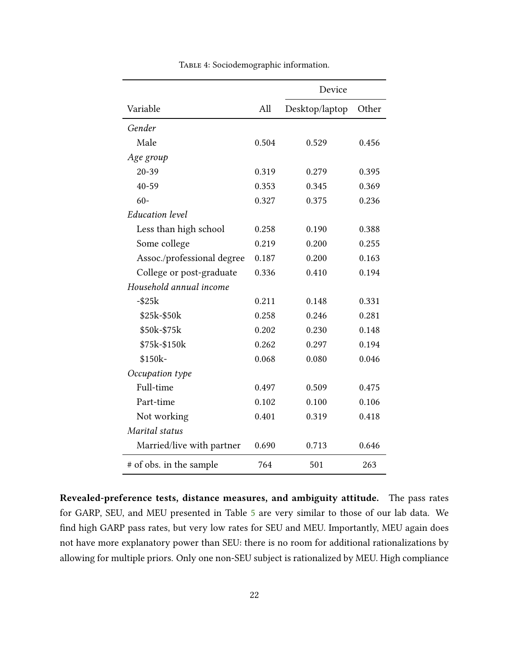<span id="page-21-0"></span>

|                            |       | Device         |       |  |
|----------------------------|-------|----------------|-------|--|
| Variable                   | All   | Desktop/laptop | Other |  |
| Gender                     |       |                |       |  |
| Male                       | 0.504 | 0.529          | 0.456 |  |
| Age group                  |       |                |       |  |
| $20 - 39$                  | 0.319 | 0.279          | 0.395 |  |
| 40-59                      | 0.353 | 0.345          | 0.369 |  |
| $60 -$                     | 0.327 | 0.375          | 0.236 |  |
| <b>Education</b> level     |       |                |       |  |
| Less than high school      | 0.258 | 0.190          | 0.388 |  |
| Some college               | 0.219 | 0.200          | 0.255 |  |
| Assoc./professional degree | 0.187 | 0.200          | 0.163 |  |
| College or post-graduate   | 0.336 | 0.410          | 0.194 |  |
| Household annual income    |       |                |       |  |
| $-$ \$25 $k$               | 0.211 | 0.148          | 0.331 |  |
| \$25k-\$50k                | 0.258 | 0.246          | 0.281 |  |
| \$50k-\$75k                | 0.202 | 0.230          | 0.148 |  |
| \$75k-\$150k               | 0.262 | 0.297          | 0.194 |  |
| \$150k-                    | 0.068 | 0.080          | 0.046 |  |
| Occupation type            |       |                |       |  |
| Full-time                  | 0.497 | 0.509          | 0.475 |  |
| Part-time                  | 0.102 | 0.100          | 0.106 |  |
| Not working                | 0.401 | 0.319          | 0.418 |  |
| Marital status             |       |                |       |  |
| Married/live with partner  | 0.690 | 0.713          | 0.646 |  |
| # of obs. in the sample    | 764   | 501            | 263   |  |

TABLE 4: Sociodemographic information.

Revealed-preference tests, distance measures, and ambiguity attitude. The pass rates for GARP, SEU, and MEU presented in Table [5](#page-22-0) are very similar to those of our lab data. We find high GARP pass rates, but very low rates for SEU and MEU. Importantly, MEU again does not have more explanatory power than SEU: there is no room for additional rationalizations by allowing for multiple priors. Only one non-SEU subject is rationalized by MEU. High compliance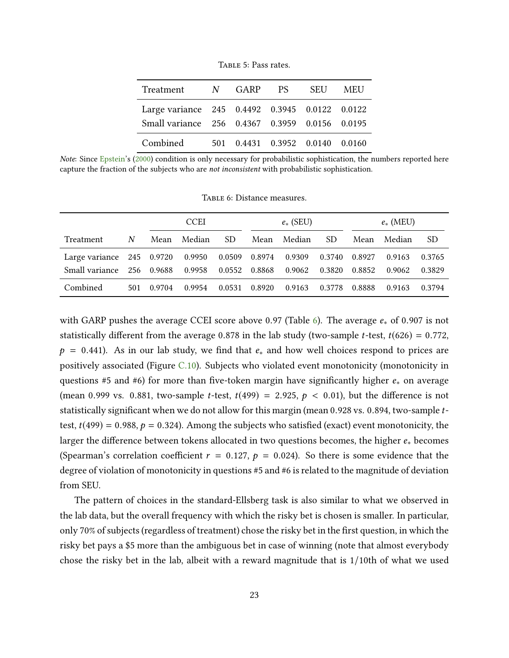<span id="page-22-0"></span>

| Treatment N GARP                               |  | PS - | <b>SEU</b>                          | <b>MEU</b> |
|------------------------------------------------|--|------|-------------------------------------|------------|
| Large variance 245 0.4492 0.3945 0.0122 0.0122 |  |      |                                     |            |
| Small variance 256 0.4367 0.3959 0.0156 0.0195 |  |      |                                     |            |
| Combined                                       |  |      | 501  0.4431  0.3952  0.0140  0.0160 |            |

Table 5: Pass rates.

Note: Since [Epstein'](#page-28-7)s [\(2000\)](#page-28-7) condition is only necessary for probabilistic sophistication, the numbers reported here capture the fraction of the subjects who are not inconsistent with probabilistic sophistication.

<span id="page-22-1"></span>

|                             |     | <b>CCEI</b> |        |        | $e_*$ (SEU) |        |        | $e_*$ (MEU) |        |        |
|-----------------------------|-----|-------------|--------|--------|-------------|--------|--------|-------------|--------|--------|
| Treatment                   | N   | Mean        | Median | SD.    | Mean        | Median | SD.    | Mean        | Median | SD.    |
| Large variance $245$ 0.9720 |     |             | 0.9950 | 0.0509 | 0.8974      | 0.9309 | 0.3740 | 0.8927      | 0.9163 | 0.3765 |
| Small variance              | 256 | 0.9688      | 0.9958 | 0.0552 | 0.8868      | 0.9062 | 0.3820 | 0.8852      | 0.9062 | 0.3829 |
| Combined                    | 501 | 0.9704      | 0.9954 | 0.0531 | 0.8920      | 0.9163 | 0.3778 | 0.8888      | 0.9163 | 0.3794 |

TABLE 6: Distance measures.

with GARP pushes the average CCEI score above 0.97 (Table [6\)](#page-22-1). The average  $e_*$  of 0.907 is not statistically different from the average 0.878 in the lab study (two-sample *t*-test,  $t(626) = 0.772$ ,  $p = 0.441$ . As in our lab study, we find that  $e_*$  and how well choices respond to prices are positively associated (Figure C.10). Subjects who violated event monotonicity (monotonicity in questions #5 and #6) for more than five-token margin have significantly higher  $e_*$  on average (mean 0.999 vs. 0.881, two-sample *t*-test,  $t(499) = 2.925$ ,  $p < 0.01$ ), but the difference is not statistically significant when we do not allow for this margin (mean 0.928 vs. 0.894, two-sample ttest,  $t(499) = 0.988$ ,  $p = 0.324$ ). Among the subjects who satisfied (exact) event monotonicity, the larger the difference between tokens allocated in two questions becomes, the higher  $e_*$  becomes (Spearman's correlation coefficient  $r = 0.127$ ,  $p = 0.024$ ). So there is some evidence that the degree of violation of monotonicity in questions #5 and #6 is related to the magnitude of deviation from SEU.

The pattern of choices in the standard-Ellsberg task is also similar to what we observed in the lab data, but the overall frequency with which the risky bet is chosen is smaller. In particular, only 70% of subjects (regardless of treatment) chose the risky bet in the first question, in which the risky bet pays a \$5 more than the ambiguous bet in case of winning (note that almost everybody chose the risky bet in the lab, albeit with a reward magnitude that is 1/10th of what we used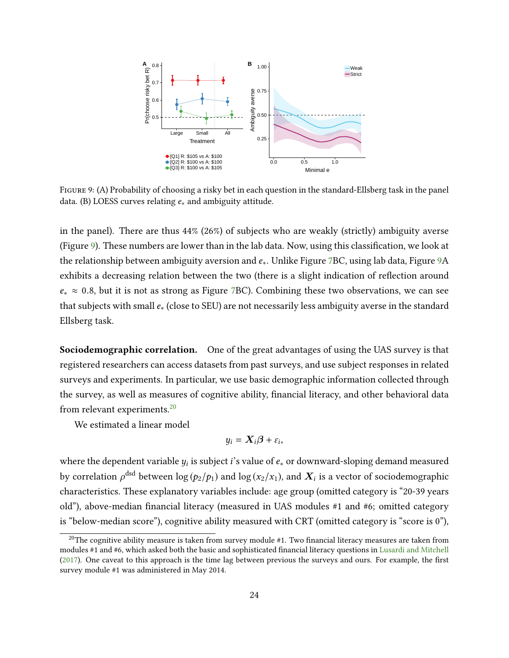<span id="page-23-0"></span>

Figure 9: (A) Probability of choosing a risky bet in each question in the standard-Ellsberg task in the panel data. (B) LOESS curves relating  $e_*$  and ambiguity attitude.

in the panel). There are thus 44% (26%) of subjects who are weakly (strictly) ambiguity averse (Figure [9\)](#page-23-0). These numbers are lower than in the lab data. Now, using this classification, we look at the relationship between ambiguity aversion and  $e_{*}$ . Unlike Figure [7B](#page-19-0)C, using lab data, Figure [9A](#page-23-0) exhibits a decreasing relation between the two (there is a slight indication of reflection around  $e_* \approx 0.8$ , but it is not as strong as Figure [7B](#page-19-0)C). Combining these two observations, we can see that subjects with small  $e_*($  (close to SEU) are not necessarily less ambiguity averse in the standard Ellsberg task.

Sociodemographic correlation. One of the great advantages of using the UAS survey is that registered researchers can access datasets from past surveys, and use subject responses in related surveys and experiments. In particular, we use basic demographic information collected through the survey, as well as measures of cognitive ability, financial literacy, and other behavioral data from relevant experiments.[20](#page-0-0)

We estimated a linear model

$$
y_i = \mathbf{X}_i \boldsymbol{\beta} + \varepsilon_i,
$$

where the dependent variable  $y_i$  is subject  $i$ 's value of  $e_\ast$  or downward-sloping demand measured by correlation  $\rho^{\rm dsd}$  between  $\log{(p_2/p_1)}$  and  $\log{(x_2/x_1)}$ , and  $\bm{X}_i$  is a vector of sociodemographic characteristics. These explanatory variables include: age group (omitted category is "20-39 years old"), above-median financial literacy (measured in UAS modules #1 and #6; omitted category is "below-median score"), cognitive ability measured with CRT (omitted category is "score is 0"),

 $20$ The cognitive ability measure is taken from survey module #1. Two financial literacy measures are taken from modules #1 and #6, which asked both the basic and sophisticated financial literacy questions in [Lusardi and Mitchell](#page-29-12)  $(2017)$ . One caveat to this approach is the time lag between previous the surveys and ours. For example, the first survey module #1 was administered in May 2014.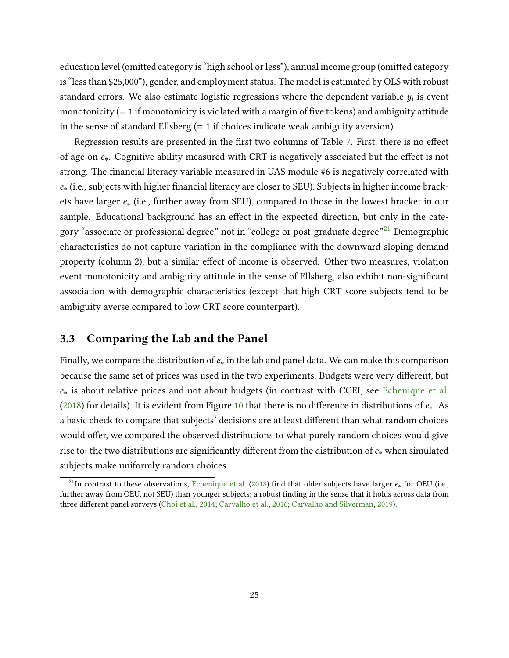education level (omitted category is "high school or less"), annual income group (omitted category is "less than \$25,000"), gender, and employment status. The model is estimated by OLS with robust standard errors. We also estimate logistic regressions where the dependent variable  $y_i$  is event monotonicity  $(= 1$  if monotonicity is violated with a margin of five tokens) and ambiguity attitude in the sense of standard Ellsberg (= 1 if choices indicate weak ambiguity aversion).

Regression results are presented in the first two columns of Table [7.](#page-25-0) First, there is no effect of age on  $e_{*}$ . Cognitive ability measured with CRT is negatively associated but the effect is not strong. The financial literacy variable measured in UAS module #6 is negatively correlated with e<sub>∗</sub> (i.e., subjects with higher financial literacy are closer to SEU). Subjects in higher income brackets have larger  $e_{*}$  (i.e., further away from SEU), compared to those in the lowest bracket in our sample. Educational background has an effect in the expected direction, but only in the cate-gory "associate or professional degree," not in "college or post-graduate degree."<sup>[21](#page-0-0)</sup> Demographic characteristics do not capture variation in the compliance with the downward-sloping demand property (column 2), but a similar effect of income is observed. Other two measures, violation event monotonicity and ambiguity attitude in the sense of Ellsberg, also exhibit non-signicant association with demographic characteristics (except that high CRT score subjects tend to be ambiguity averse compared to low CRT score counterpart).

### 3.3 Comparing the Lab and the Panel

Finally, we compare the distribution of  $e_*$  in the lab and panel data. We can make this comparison because the same set of prices was used in the two experiments. Budgets were very different, but e∗ is about relative prices and not about budgets (in contrast with CCEI; see [Echenique et al.](#page-28-4) [\(2018\)](#page-28-4) for details). It is evident from Figure [10](#page-26-0) that there is no difference in distributions of  $e_$ . As a basic check to compare that subjects' decisions are at least different than what random choices would offer, we compared the observed distributions to what purely random choices would give rise to: the two distributions are significantly different from the distribution of  $e_*$  when simulated subjects make uniformly random choices.

<sup>&</sup>lt;sup>21</sup>In contrast to these observations, [Echenique et al.](#page-28-4) [\(2018\)](#page-28-4) find that older subjects have larger  $e_*$  for OEU (i.e., further away from OEU, not SEU) than younger subjects; a robust finding in the sense that it holds across data from three different panel surveys [\(Choi et al.,](#page-28-6) [2014;](#page-28-6) [Carvalho et al.,](#page-27-11) [2016;](#page-27-11) [Carvalho and Silverman,](#page-27-2) [2019\)](#page-27-2).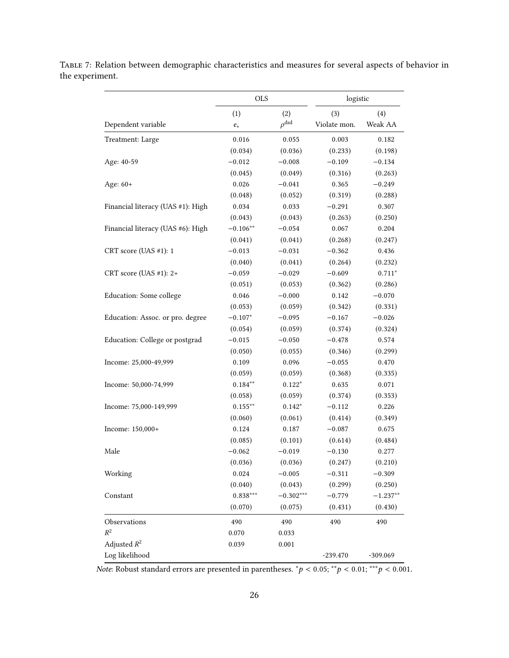|                                   | <b>OLS</b> |                     | logistic     |            |  |
|-----------------------------------|------------|---------------------|--------------|------------|--|
|                                   | (1)        | (2)                 | (3)          | (4)        |  |
| Dependent variable                | $e_\ast$   | $\rho^{\text{dsd}}$ | Violate mon. | Weak AA    |  |
| Treatment: Large                  | 0.016      | 0.055               | 0.003        | 0.182      |  |
|                                   | (0.034)    | (0.036)             | (0.233)      | (0.198)    |  |
| Age: 40-59                        | $-0.012$   | $-0.008$            | $-0.109$     | $-0.134$   |  |
|                                   | (0.045)    | (0.049)             | (0.316)      | (0.263)    |  |
| Age: 60+                          | 0.026      | $-0.041$            | 0.365        | $-0.249$   |  |
|                                   | (0.048)    | (0.052)             | (0.319)      | (0.288)    |  |
| Financial literacy (UAS #1): High | 0.034      | 0.033               | $-0.291$     | 0.307      |  |
|                                   | (0.043)    | (0.043)             | (0.263)      | (0.250)    |  |
| Financial literacy (UAS #6): High | $-0.106**$ | $-0.054$            | 0.067        | 0.204      |  |
|                                   | (0.041)    | (0.041)             | (0.268)      | (0.247)    |  |
| CRT score (UAS #1): 1             | $-0.013$   | $-0.031$            | $-0.362$     | 0.436      |  |
|                                   | (0.040)    | (0.041)             | (0.264)      | (0.232)    |  |
| CRT score (UAS #1): 2+            | $-0.059$   | $-0.029$            | $-0.609$     | $0.711*$   |  |
|                                   | (0.051)    | (0.053)             | (0.362)      | (0.286)    |  |
| Education: Some college           | 0.046      | $-0.000$            | 0.142        | $-0.070$   |  |
|                                   | (0.053)    | (0.059)             | (0.342)      | (0.331)    |  |
| Education: Assoc. or pro. degree  | $-0.107*$  | $-0.095$            | $-0.167$     | $-0.026$   |  |
|                                   | (0.054)    | (0.059)             | (0.374)      | (0.324)    |  |
| Education: College or postgrad    | $-0.015$   | $-0.050$            | $-0.478$     | 0.574      |  |
|                                   | (0.050)    | (0.055)             | (0.346)      | (0.299)    |  |
| Income: 25,000-49,999             | 0.109      | 0.096               | $-0.055$     | 0.470      |  |
|                                   | (0.059)    | (0.059)             | (0.368)      | (0.335)    |  |
| Income: 50,000-74,999             | $0.184**$  | $0.122*$            | 0.635        | 0.071      |  |
|                                   | (0.058)    | (0.059)             | (0.374)      | (0.353)    |  |
| Income: 75,000-149,999            | $0.155***$ | $0.142*$            | $-0.112$     | 0.226      |  |
|                                   | (0.060)    | (0.061)             | (0.414)      | (0.349)    |  |
| Income: 150,000+                  | 0.124      | 0.187               | $-0.087$     | 0.675      |  |
|                                   | (0.085)    | (0.101)             | (0.614)      | (0.484)    |  |
| Male                              | $-0.062$   | $-0.019$            | $-0.130$     | 0.277      |  |
|                                   | (0.036)    | (0.036)             | (0.247)      | (0.210)    |  |
| Working                           | 0.024      | $-0.005$            | $-0.311$     | $-0.309$   |  |
|                                   | (0.040)    | (0.043)             | (0.299)      | (0.250)    |  |
| Constant                          | $0.838***$ | $-0.302***$         | $-0.779$     | $-1.237**$ |  |
|                                   | (0.070)    | (0.075)             | (0.431)      | (0.430)    |  |
| Observations                      | 490        | 490                 | 490          | 490        |  |
| $\mathbb{R}^2$                    | 0.070      | 0.033               |              |            |  |
| Adjusted $R^2$                    | 0.039      | 0.001               |              |            |  |
| Log likelihood                    |            |                     | $-239.470$   | $-309.069$ |  |

<span id="page-25-0"></span>Table 7: Relation between demographic characteristics and measures for several aspects of behavior in the experiment.

Note: Robust standard errors are presented in parentheses.  ${}^*p < 0.05; {}^{**}p < 0.01; {}^{***}p < 0.001$ .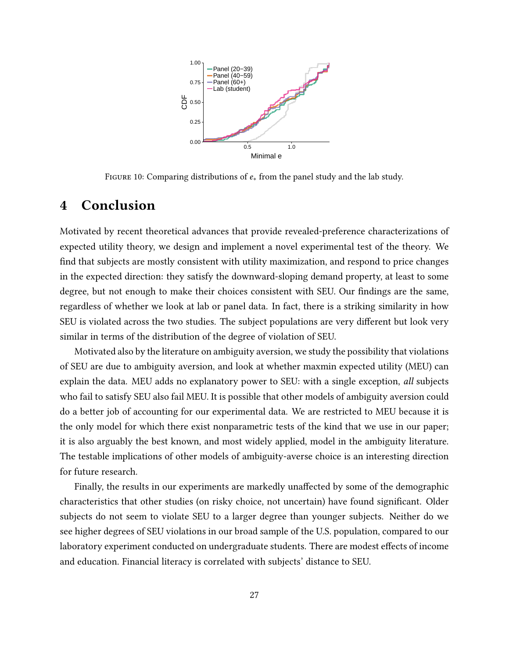<span id="page-26-0"></span>

FIGURE 10: Comparing distributions of  $e_*$  from the panel study and the lab study.

# 4 Conclusion

Motivated by recent theoretical advances that provide revealed-preference characterizations of expected utility theory, we design and implement a novel experimental test of the theory. We find that subjects are mostly consistent with utility maximization, and respond to price changes in the expected direction: they satisfy the downward-sloping demand property, at least to some degree, but not enough to make their choices consistent with SEU. Our findings are the same, regardless of whether we look at lab or panel data. In fact, there is a striking similarity in how SEU is violated across the two studies. The subject populations are very different but look very similar in terms of the distribution of the degree of violation of SEU.

Motivated also by the literature on ambiguity aversion, we study the possibility that violations of SEU are due to ambiguity aversion, and look at whether maxmin expected utility (MEU) can explain the data. MEU adds no explanatory power to SEU: with a single exception, all subjects who fail to satisfy SEU also fail MEU. It is possible that other models of ambiguity aversion could do a better job of accounting for our experimental data. We are restricted to MEU because it is the only model for which there exist nonparametric tests of the kind that we use in our paper; it is also arguably the best known, and most widely applied, model in the ambiguity literature. The testable implications of other models of ambiguity-averse choice is an interesting direction for future research.

Finally, the results in our experiments are markedly unaffected by some of the demographic characteristics that other studies (on risky choice, not uncertain) have found significant. Older subjects do not seem to violate SEU to a larger degree than younger subjects. Neither do we see higher degrees of SEU violations in our broad sample of the U.S. population, compared to our laboratory experiment conducted on undergraduate students. There are modest effects of income and education. Financial literacy is correlated with subjects' distance to SEU.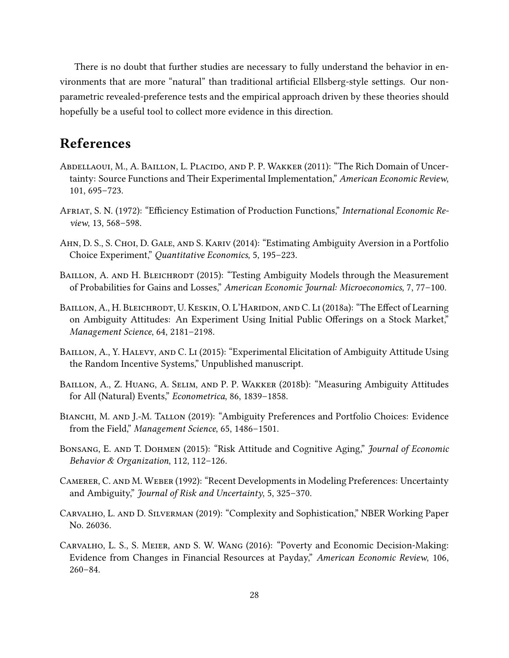There is no doubt that further studies are necessary to fully understand the behavior in environments that are more "natural" than traditional artificial Ellsberg-style settings. Our nonparametric revealed-preference tests and the empirical approach driven by these theories should hopefully be a useful tool to collect more evidence in this direction.

### References

- <span id="page-27-3"></span>Abdellaoui, M., A. Baillon, L. Placido, and P. P. Wakker (2011): "The Rich Domain of Uncertainty: Source Functions and Their Experimental Implementation," American Economic Review, 101, 695–723.
- <span id="page-27-10"></span>AFRIAT, S. N. (1972): "Efficiency Estimation of Production Functions," International Economic Review, 13, 568–598.
- <span id="page-27-1"></span>Ahn, D. S., S. Choi, D. Gale, and S. Kariv (2014): "Estimating Ambiguity Aversion in a Portfolio Choice Experiment," Quantitative Economics, 5, 195–223.
- <span id="page-27-4"></span>BAILLON, A. AND H. BLEICHRODT (2015): "Testing Ambiguity Models through the Measurement of Probabilities for Gains and Losses," American Economic Journal: Microeconomics, 7, 77–100.
- <span id="page-27-5"></span>BAILLON, A., H. BLEICHRODT, U. KESKIN, O. L'HARIDON, AND C. LI (2018a): "The Effect of Learning on Ambiguity Attitudes: An Experiment Using Initial Public Offerings on a Stock Market," Management Science, 64, 2181–2198.
- <span id="page-27-9"></span>BAILLON, A., Y. HALEVY, AND C. LI (2015): "Experimental Elicitation of Ambiguity Attitude Using the Random Incentive Systems," Unpublished manuscript.
- <span id="page-27-0"></span>Baillon, A., Z. Huang, A. Selim, and P. P. Wakker (2018b): "Measuring Ambiguity Attitudes for All (Natural) Events," Econometrica, 86, 1839–1858.
- <span id="page-27-6"></span>BIANCHI, M. AND J.-M. TALLON (2019): "Ambiguity Preferences and Portfolio Choices: Evidence from the Field," Management Science, 65, 1486–1501.
- <span id="page-27-7"></span>BONSANG, E. AND T. DOHMEN (2015): "Risk Attitude and Cognitive Aging," Journal of Economic Behavior & Organization, 112, 112–126.
- <span id="page-27-8"></span>Camerer, C. and M. Weber (1992): "Recent Developments in Modeling Preferences: Uncertainty and Ambiguity," Journal of Risk and Uncertainty, 5, 325–370.
- <span id="page-27-2"></span>Carvalho, L. and D. Silverman (2019): "Complexity and Sophistication," NBER Working Paper No. 26036.
- <span id="page-27-11"></span>Carvalho, L. S., S. Meier, and S. W. Wang (2016): "Poverty and Economic Decision-Making: Evidence from Changes in Financial Resources at Payday," American Economic Review, 106, 260–84.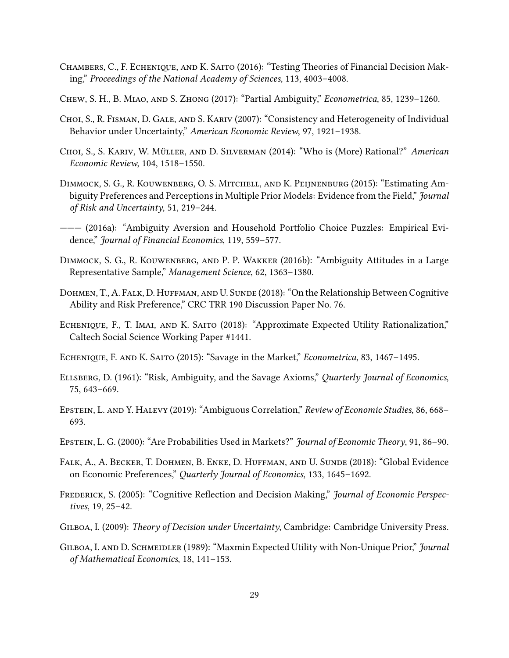- <span id="page-28-3"></span>CHAMBERS, C., F. ECHENIQUE, AND K. SAITO (2016): "Testing Theories of Financial Decision Making," Proceedings of the National Academy of Sciences, 113, 4003–4008.
- <span id="page-28-8"></span>Chew, S. H., B. Miao, and S. Zhong (2017): "Partial Ambiguity," Econometrica, 85, 1239–1260.
- <span id="page-28-5"></span>Choi, S., R. Fisman, D. Gale, and S. Kariv (2007): "Consistency and Heterogeneity of Individual Behavior under Uncertainty," American Economic Review, 97, 1921-1938.
- <span id="page-28-6"></span>CHOI, S., S. KARIV, W. MÜLLER, AND D. SILVERMAN (2014): "Who is (More) Rational?" American Economic Review, 104, 1518–1550.
- <span id="page-28-10"></span>Dimmock, S. G., R. Kouwenberg, O. S. Mitchell, and K. Peijnenburg (2015): "Estimating Ambiguity Preferences and Perceptions in Multiple Prior Models: Evidence from the Field," Journal of Risk and Uncertainty, 51, 219–244.
- <span id="page-28-11"></span>——— (2016a): "Ambiguity Aversion and Household Portfolio Choice Puzzles: Empirical Evidence," Journal of Financial Economics, 119, 559–577.
- <span id="page-28-12"></span>Dimmock, S. G., R. Kouwenberg, and P. P. Wakker (2016b): "Ambiguity Attitudes in a Large Representative Sample," Management Science, 62, 1363–1380.
- <span id="page-28-13"></span>DOHMEN, T., A. FALK, D. HUFFMAN, AND U. SUNDE (2018): "On the Relationship Between Cognitive Ability and Risk Preference," CRC TRR 190 Discussion Paper No. 76.
- <span id="page-28-4"></span>ECHENIQUE, F., T. IMAI, AND K. SAITO (2018): "Approximate Expected Utility Rationalization," Caltech Social Science Working Paper #1441.
- <span id="page-28-0"></span>ECHENIQUE, F. AND K. SAITO (2015): "Savage in the Market," Econometrica, 83, 1467-1495.
- <span id="page-28-1"></span>Ellsberg, D. (1961): "Risk, Ambiguity, and the Savage Axioms," Quarterly Journal of Economics, 75, 643–669.
- <span id="page-28-9"></span>Epstein, L. and Y. Halevy (2019): "Ambiguous Correlation," Review of Economic Studies, 86, 668– 693.
- <span id="page-28-7"></span>Epstein, L. G. (2000): "Are Probabilities Used in Markets?" Journal of Economic Theory, 91, 86–90.
- <span id="page-28-14"></span>Falk, A., A. Becker, T. Dohmen, B. Enke, D. Huffman, and U. Sunde (2018): "Global Evidence on Economic Preferences," Quarterly Journal of Economics, 133, 1645–1692.
- <span id="page-28-16"></span>FREDERICK, S. (2005): "Cognitive Reflection and Decision Making," *Journal of Economic Perspec*tives, 19, 25–42.
- <span id="page-28-15"></span>Gilboa, I. (2009): Theory of Decision under Uncertainty, Cambridge: Cambridge University Press.
- <span id="page-28-2"></span>GILBOA, I. AND D. SCHMEIDLER (1989): "Maxmin Expected Utility with Non-Unique Prior," *Journal* of Mathematical Economics, 18, 141–153.